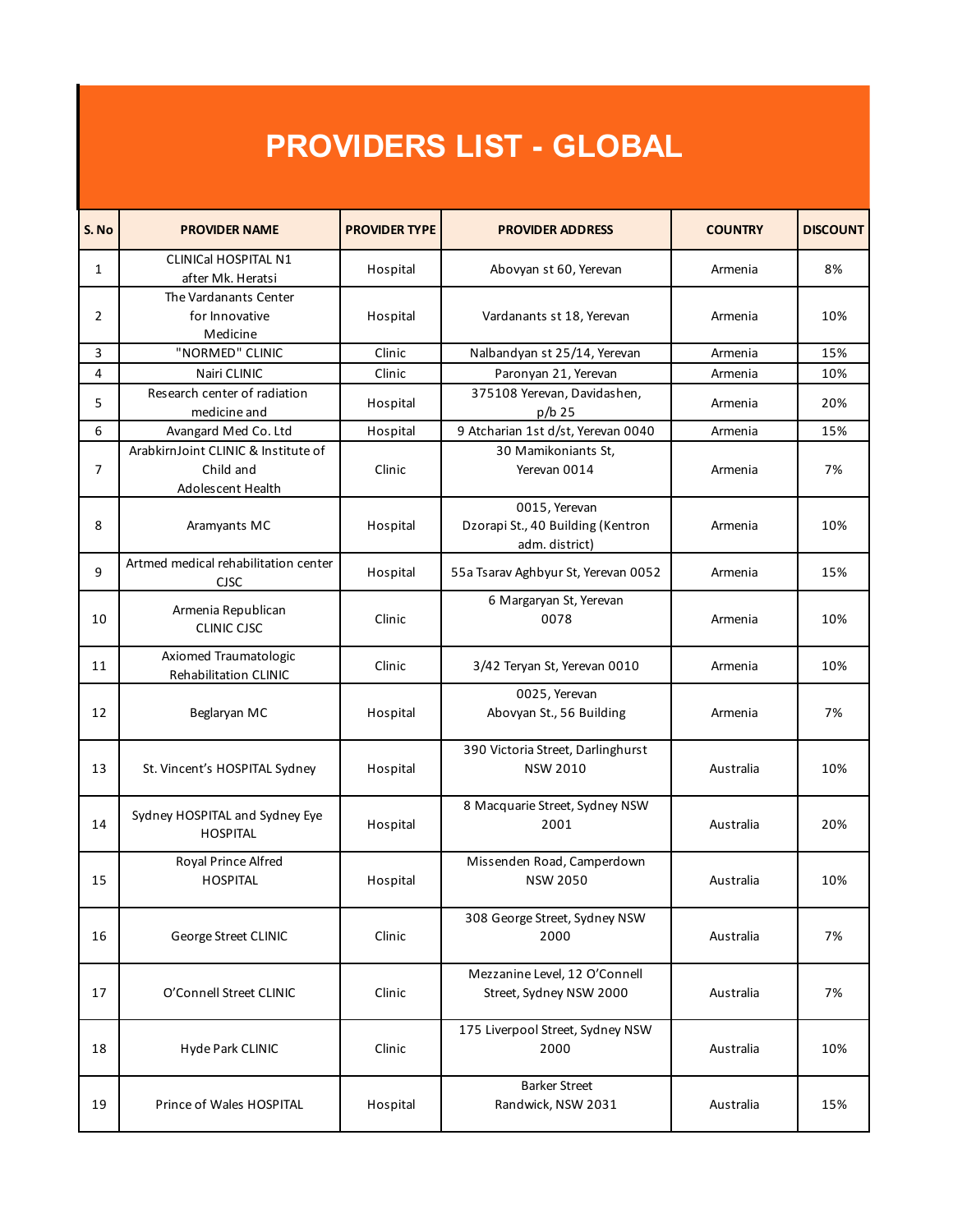## **PROVIDERS LIST - GLOBAL**

| S. No | <b>PROVIDER NAME</b>                                                  | <b>PROVIDER TYPE</b> | <b>PROVIDER ADDRESS</b>                                              | <b>COUNTRY</b> | <b>DISCOUNT</b> |
|-------|-----------------------------------------------------------------------|----------------------|----------------------------------------------------------------------|----------------|-----------------|
| 1     | <b>CLINICal HOSPITAL N1</b><br>after Mk. Heratsi                      | Hospital             | Abovyan st 60, Yerevan                                               | Armenia        | 8%              |
| 2     | The Vardanants Center<br>for Innovative<br>Medicine                   | Hospital             | Vardanants st 18, Yerevan                                            | Armenia        | 10%             |
| 3     | "NORMED" CLINIC                                                       | Clinic               | Nalbandyan st 25/14, Yerevan                                         | Armenia        | 15%             |
| 4     | Nairi CLINIC                                                          | Clinic               | Paronyan 21, Yerevan                                                 | Armenia        | 10%             |
| 5     | Research center of radiation<br>medicine and                          | Hospital             | 375108 Yerevan, Davidashen,<br>p/b 25                                | Armenia        | 20%             |
| 6     | Avangard Med Co. Ltd                                                  | Hospital             | 9 Atcharian 1st d/st, Yerevan 0040                                   | Armenia        | 15%             |
| 7     | ArabkirnJoint CLINIC & Institute of<br>Child and<br>Adolescent Health | Clinic               | 30 Mamikoniants St,<br>Yerevan 0014                                  | Armenia        | 7%              |
| 8     | Aramyants MC                                                          | Hospital             | 0015, Yerevan<br>Dzorapi St., 40 Building (Kentron<br>adm. district) | Armenia        | 10%             |
| 9     | Artmed medical rehabilitation center<br><b>CJSC</b>                   | Hospital             | 55a Tsarav Aghbyur St, Yerevan 0052                                  | Armenia        | 15%             |
| 10    | Armenia Republican<br><b>CLINIC CJSC</b>                              | Clinic               | 6 Margaryan St, Yerevan<br>0078                                      | Armenia        | 10%             |
| 11    | Axiomed Traumatologic<br>Rehabilitation CLINIC                        | Clinic               | 3/42 Teryan St, Yerevan 0010                                         | Armenia        | 10%             |
| 12    | Beglaryan MC                                                          | Hospital             | 0025, Yerevan<br>Abovyan St., 56 Building                            | Armenia        | 7%              |
| 13    | St. Vincent's HOSPITAL Sydney                                         | Hospital             | 390 Victoria Street, Darlinghurst<br><b>NSW 2010</b>                 | Australia      | 10%             |
| 14    | Sydney HOSPITAL and Sydney Eye<br><b>HOSPITAL</b>                     | Hospital             | 8 Macquarie Street, Sydney NSW<br>2001                               | Australia      | 20%             |
| 15    | Royal Prince Alfred<br><b>HOSPITAL</b>                                | Hospital             | Missenden Road, Camperdown<br><b>NSW 2050</b>                        | Australia      | 10%             |
| 16    | George Street CLINIC                                                  | Clinic               | 308 George Street, Sydney NSW<br>2000                                | Australia      | 7%              |
| 17    | O'Connell Street CLINIC                                               | Clinic               | Mezzanine Level, 12 O'Connell<br>Street, Sydney NSW 2000             | Australia      | 7%              |
| 18    | Hyde Park CLINIC                                                      | Clinic               | 175 Liverpool Street, Sydney NSW<br>2000                             | Australia      | 10%             |
| 19    | Prince of Wales HOSPITAL                                              | Hospital             | <b>Barker Street</b><br>Randwick, NSW 2031                           | Australia      | 15%             |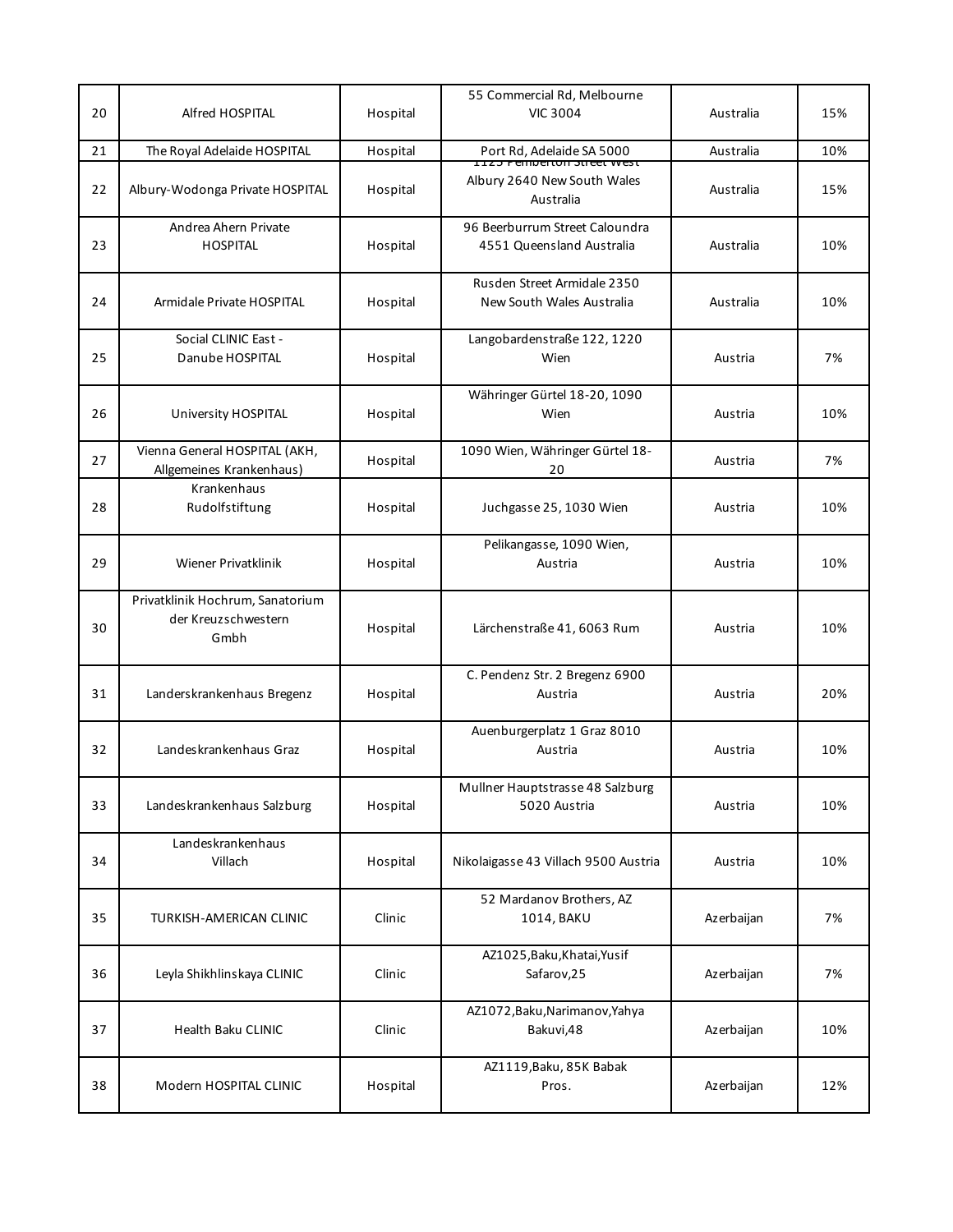| 20 | Alfred HOSPITAL                                                 | Hospital | 55 Commercial Rd, Melbourne<br><b>VIC 3004</b>                                   | Australia  | 15% |
|----|-----------------------------------------------------------------|----------|----------------------------------------------------------------------------------|------------|-----|
| 21 | The Royal Adelaide HOSPITAL                                     | Hospital | Port Rd, Adelaide SA 5000                                                        | Australia  | 10% |
| 22 | Albury-Wodonga Private HOSPITAL                                 | Hospital | <u> 1125 הפחוטפונטוו אוופפנ GS</u> t<br>Albury 2640 New South Wales<br>Australia | Australia  | 15% |
| 23 | Andrea Ahern Private<br><b>HOSPITAL</b>                         | Hospital | 96 Beerburrum Street Caloundra<br>4551 Queensland Australia                      | Australia  | 10% |
| 24 | Armidale Private HOSPITAL                                       | Hospital | Rusden Street Armidale 2350<br>New South Wales Australia                         | Australia  | 10% |
| 25 | Social CLINIC East -<br>Danube HOSPITAL                         | Hospital | Langobardenstraße 122, 1220<br>Wien                                              | Austria    | 7%  |
| 26 | University HOSPITAL                                             | Hospital | Währinger Gürtel 18-20, 1090<br>Wien                                             | Austria    | 10% |
| 27 | Vienna General HOSPITAL (AKH,<br>Allgemeines Krankenhaus)       | Hospital | 1090 Wien, Währinger Gürtel 18-<br>20                                            | Austria    | 7%  |
| 28 | Krankenhaus<br>Rudolfstiftung                                   | Hospital | Juchgasse 25, 1030 Wien                                                          | Austria    | 10% |
| 29 | Wiener Privatklinik                                             | Hospital | Pelikangasse, 1090 Wien,<br>Austria                                              | Austria    | 10% |
| 30 | Privatklinik Hochrum, Sanatorium<br>der Kreuzschwestern<br>Gmbh | Hospital | Lärchenstraße 41, 6063 Rum                                                       | Austria    | 10% |
| 31 | Landerskrankenhaus Bregenz                                      | Hospital | C. Pendenz Str. 2 Bregenz 6900<br>Austria                                        | Austria    | 20% |
| 32 | Landeskrankenhaus Graz                                          | Hospital | Auenburgerplatz 1 Graz 8010<br>Austria                                           | Austria    | 10% |
| 33 | Landeskrankenhaus Salzburg                                      | Hospital | Mullner Hauptstrasse 48 Salzburg<br>5020 Austria                                 | Austria    | 10% |
| 34 | Landeskrankenhaus<br>Villach                                    | Hospital | Nikolaigasse 43 Villach 9500 Austria                                             | Austria    | 10% |
| 35 | TURKISH-AMERICAN CLINIC                                         | Clinic   | 52 Mardanov Brothers, AZ<br>1014, BAKU                                           | Azerbaijan | 7%  |
| 36 | Leyla Shikhlinskaya CLINIC                                      | Clinic   | AZ1025, Baku, Khatai, Yusif<br>Safarov, 25                                       | Azerbaijan | 7%  |
| 37 | Health Baku CLINIC                                              | Clinic   | AZ1072, Baku, Narimanov, Yahya<br>Bakuvi,48                                      | Azerbaijan | 10% |
| 38 | Modern HOSPITAL CLINIC                                          | Hospital | AZ1119, Baku, 85K Babak<br>Pros.                                                 | Azerbaijan | 12% |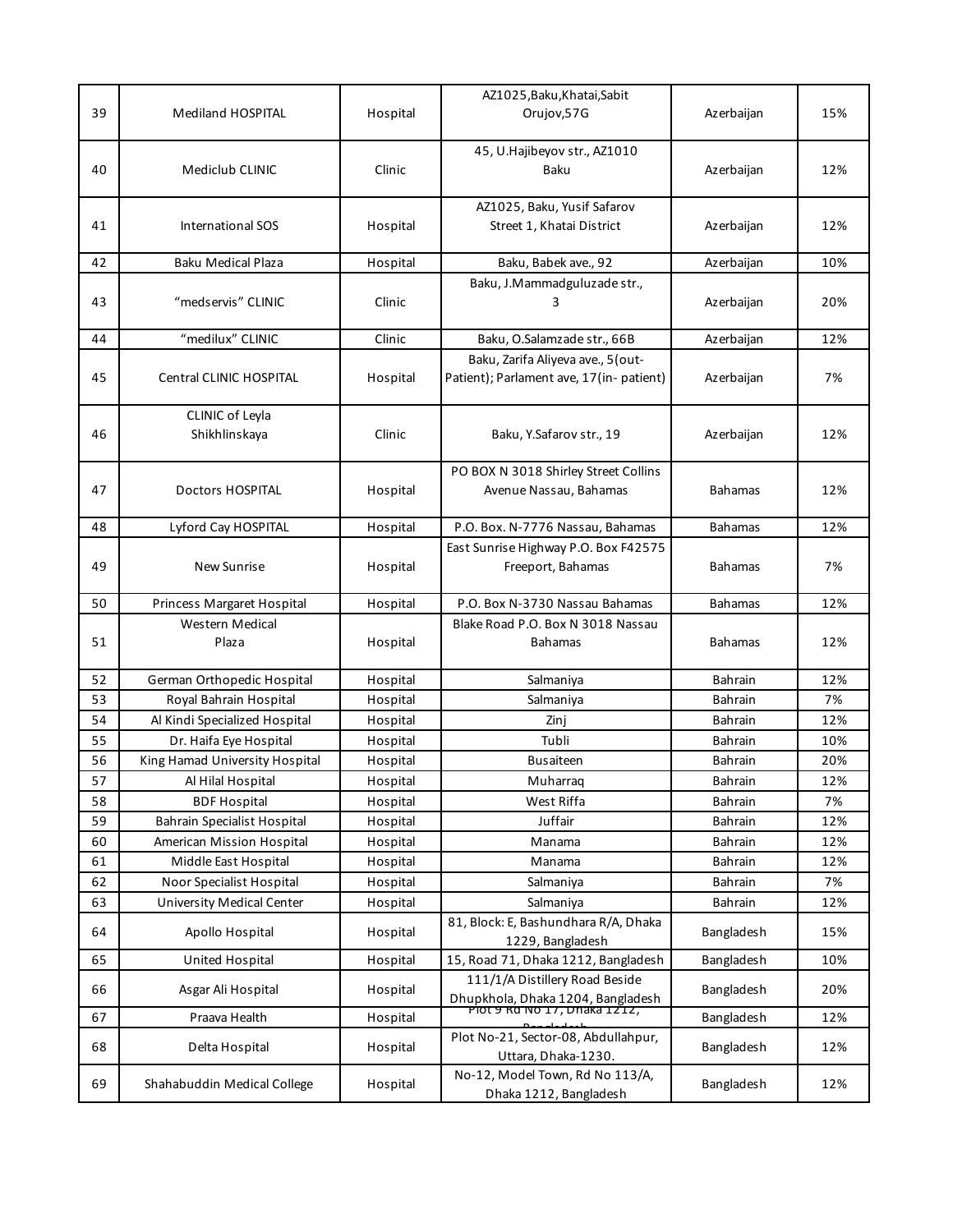|    |                                    |          | AZ1025, Baku, Khatai, Sabit                                       |                |     |
|----|------------------------------------|----------|-------------------------------------------------------------------|----------------|-----|
| 39 | Mediland HOSPITAL                  | Hospital | Orujov, 57G                                                       | Azerbaijan     | 15% |
|    |                                    |          | 45, U.Hajibeyov str., AZ1010                                      |                |     |
| 40 | Mediclub CLINIC                    | Clinic   | Baku                                                              | Azerbaijan     | 12% |
|    |                                    |          |                                                                   |                |     |
| 41 | International SOS                  | Hospital | AZ1025, Baku, Yusif Safarov<br>Street 1, Khatai District          | Azerbaijan     | 12% |
|    |                                    |          |                                                                   |                |     |
| 42 | Baku Medical Plaza                 | Hospital | Baku, Babek ave., 92                                              | Azerbaijan     | 10% |
|    |                                    |          | Baku, J.Mammadguluzade str.,                                      |                |     |
| 43 | "medservis" CLINIC                 | Clinic   | 3                                                                 | Azerbaijan     | 20% |
|    | "medilux" CLINIC                   | Clinic   |                                                                   |                | 12% |
| 44 |                                    |          | Baku, O.Salamzade str., 66B<br>Baku, Zarifa Aliyeva ave., 5 (out- | Azerbaijan     |     |
| 45 | Central CLINIC HOSPITAL            | Hospital | Patient); Parlament ave, 17(in-patient)                           | Azerbaijan     | 7%  |
|    |                                    |          |                                                                   |                |     |
|    | CLINIC of Leyla                    |          |                                                                   |                |     |
| 46 | Shikhlinskaya                      | Clinic   | Baku, Y.Safarov str., 19                                          | Azerbaijan     | 12% |
|    |                                    |          |                                                                   |                |     |
| 47 | <b>Doctors HOSPITAL</b>            |          | PO BOX N 3018 Shirley Street Collins<br>Avenue Nassau, Bahamas    |                | 12% |
|    |                                    | Hospital |                                                                   | <b>Bahamas</b> |     |
| 48 | Lyford Cay HOSPITAL                | Hospital | P.O. Box. N-7776 Nassau, Bahamas                                  | <b>Bahamas</b> | 12% |
|    |                                    |          | East Sunrise Highway P.O. Box F42575                              |                |     |
| 49 | <b>New Sunrise</b>                 | Hospital | Freeport, Bahamas                                                 | <b>Bahamas</b> | 7%  |
|    |                                    |          |                                                                   |                |     |
|    |                                    |          |                                                                   |                |     |
| 50 | Princess Margaret Hospital         | Hospital | P.O. Box N-3730 Nassau Bahamas                                    | <b>Bahamas</b> | 12% |
|    | Western Medical                    |          | Blake Road P.O. Box N 3018 Nassau                                 |                |     |
| 51 | Plaza                              | Hospital | <b>Bahamas</b>                                                    | <b>Bahamas</b> | 12% |
| 52 | German Orthopedic Hospital         | Hospital | Salmaniya                                                         | <b>Bahrain</b> | 12% |
| 53 | Royal Bahrain Hospital             | Hospital | Salmaniya                                                         | <b>Bahrain</b> | 7%  |
| 54 | Al Kindi Specialized Hospital      | Hospital | Zinj                                                              | <b>Bahrain</b> | 12% |
| 55 | Dr. Haifa Eye Hospital             | Hospital | Tubli                                                             | <b>Bahrain</b> | 10% |
| 56 | King Hamad University Hospital     | Hospital | <b>Busaiteen</b>                                                  | <b>Bahrain</b> | 20% |
| 57 | Al Hilal Hospital                  | Hospital | Muharraq                                                          | <b>Bahrain</b> | 12% |
| 58 | <b>BDF Hospital</b>                | Hospital | West Riffa                                                        | Bahrain        | 7%  |
| 59 | <b>Bahrain Specialist Hospital</b> | Hospital | Juffair                                                           | <b>Bahrain</b> | 12% |
| 60 | American Mission Hospital          | Hospital | Manama                                                            | Bahrain        | 12% |
| 61 | Middle East Hospital               | Hospital | Manama                                                            | <b>Bahrain</b> | 12% |
| 62 | Noor Specialist Hospital           | Hospital | Salmaniya                                                         | <b>Bahrain</b> | 7%  |
| 63 | University Medical Center          | Hospital | Salmaniya                                                         | Bahrain        | 12% |
| 64 | Apollo Hospital                    | Hospital | 81, Block: E, Bashundhara R/A, Dhaka<br>1229, Bangladesh          | Bangladesh     | 15% |
| 65 | <b>United Hospital</b>             | Hospital | 15, Road 71, Dhaka 1212, Bangladesh                               | Bangladesh     | 10% |
| 66 | Asgar Ali Hospital                 | Hospital | 111/1/A Distillery Road Beside                                    | Bangladesh     | 20% |
| 67 | Praava Health                      | Hospital | Dhupkhola, Dhaka 1204, Bangladesh<br>PIOT 9 RQ NO 17, Dhaka 1212, | Bangladesh     | 12% |
| 68 | Delta Hospital                     | Hospital | Plot No-21, Sector-08, Abdullahpur,<br>Uttara, Dhaka-1230.        | Bangladesh     | 12% |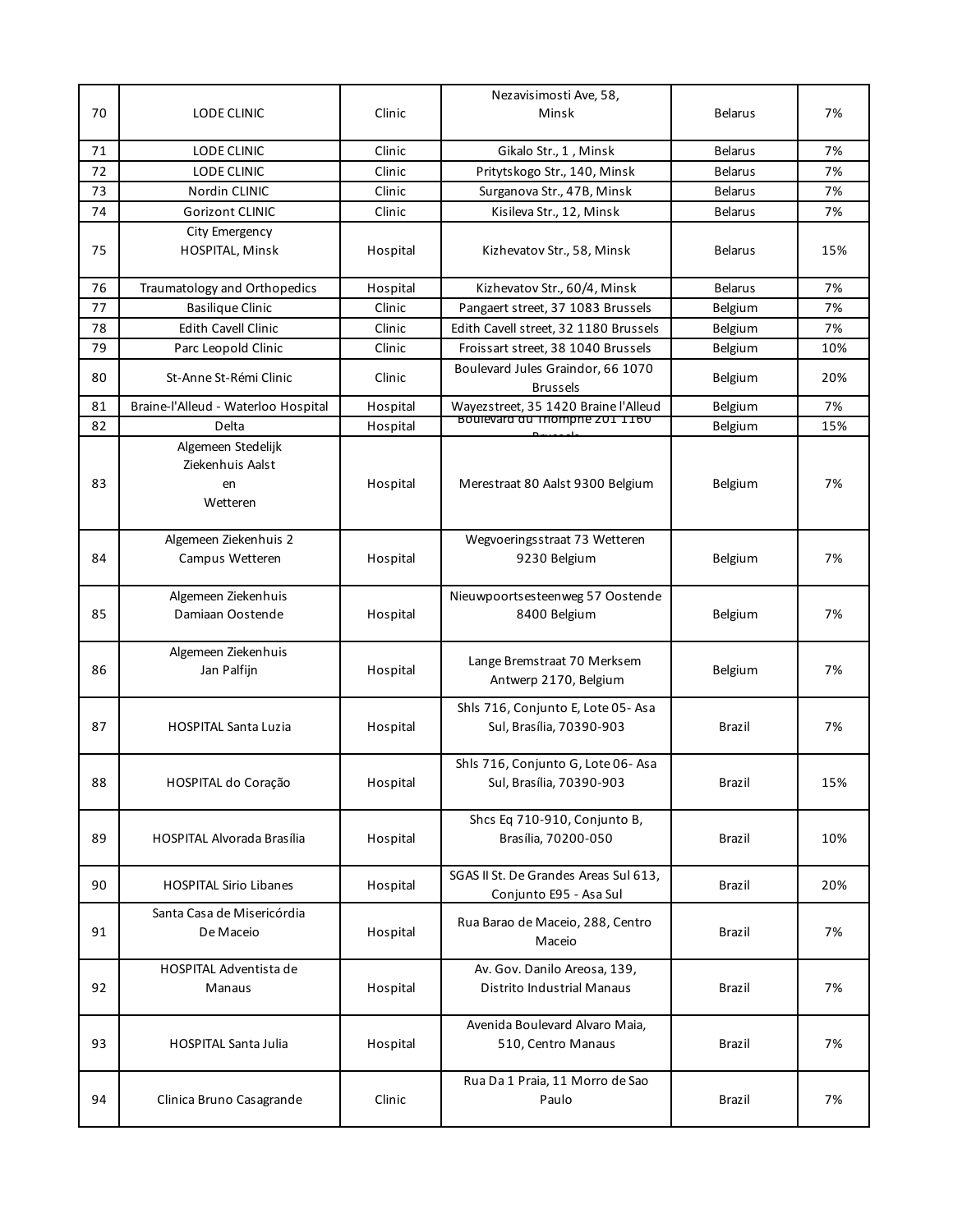| 70 | LODE CLINIC                                              | Clinic   | Nezavisimosti Ave, 58,<br>Minsk                                 | <b>Belarus</b> | 7%  |
|----|----------------------------------------------------------|----------|-----------------------------------------------------------------|----------------|-----|
|    |                                                          |          |                                                                 |                |     |
| 71 | LODE CLINIC                                              | Clinic   | Gikalo Str., 1, Minsk                                           | <b>Belarus</b> | 7%  |
| 72 | LODE CLINIC                                              | Clinic   | Pritytskogo Str., 140, Minsk                                    | <b>Belarus</b> | 7%  |
| 73 | Nordin CLINIC                                            | Clinic   | Surganova Str., 47B, Minsk                                      | <b>Belarus</b> | 7%  |
| 74 | <b>Gorizont CLINIC</b>                                   | Clinic   | Kisileva Str., 12, Minsk                                        | <b>Belarus</b> | 7%  |
| 75 | City Emergency<br>HOSPITAL, Minsk                        | Hospital | Kizhevatov Str., 58, Minsk                                      | <b>Belarus</b> | 15% |
| 76 | Traumatology and Orthopedics                             | Hospital | Kizhevatov Str., 60/4, Minsk                                    | <b>Belarus</b> | 7%  |
| 77 | <b>Basilique Clinic</b>                                  | Clinic   | Pangaert street, 37 1083 Brussels                               | Belgium        | 7%  |
| 78 | <b>Edith Cavell Clinic</b>                               | Clinic   | Edith Cavell street, 32 1180 Brussels                           | Belgium        | 7%  |
| 79 | Parc Leopold Clinic                                      | Clinic   | Froissart street, 38 1040 Brussels                              | Belgium        | 10% |
| 80 | St-Anne St-Rémi Clinic                                   | Clinic   | Boulevard Jules Graindor, 66 1070<br><b>Brussels</b>            | Belgium        | 20% |
| 81 | Braine-l'Alleud - Waterloo Hospital                      | Hospital | Wayezstreet, 35 1420 Braine l'Alleud                            | Belgium        | 7%  |
| 82 | Delta                                                    | Hospital | <b>Boulevard du Triomphe 201 1160</b>                           | Belgium        | 15% |
| 83 | Algemeen Stedelijk<br>Ziekenhuis Aalst<br>en<br>Wetteren | Hospital | Merestraat 80 Aalst 9300 Belgium                                | Belgium        | 7%  |
| 84 | Algemeen Ziekenhuis 2<br>Campus Wetteren                 | Hospital | Wegvoeringsstraat 73 Wetteren<br>9230 Belgium                   | Belgium        | 7%  |
| 85 | Algemeen Ziekenhuis<br>Damiaan Oostende                  | Hospital | Nieuwpoortsesteenweg 57 Oostende<br>8400 Belgium                | Belgium        | 7%  |
| 86 | Algemeen Ziekenhuis<br>Jan Palfijn                       | Hospital | Lange Bremstraat 70 Merksem<br>Antwerp 2170, Belgium            | Belgium        | 7%  |
| 87 | <b>HOSPITAL Santa Luzia</b>                              | Hospital | Shls 716, Conjunto E, Lote 05-Asa<br>Sul, Brasília, 70390-903   | Brazil         | 7%  |
| 88 | HOSPITAL do Coração                                      | Hospital | Shls 716, Conjunto G, Lote 06-Asa<br>Sul, Brasília, 70390-903   | Brazil         | 15% |
| 89 | <b>HOSPITAL Alvorada Brasília</b>                        | Hospital | Shcs Eq 710-910, Conjunto B,<br>Brasília, 70200-050             | Brazil         | 10% |
| 90 | <b>HOSPITAL Sirio Libanes</b>                            | Hospital | SGAS II St. De Grandes Areas Sul 613,<br>Conjunto E95 - Asa Sul | Brazil         | 20% |
| 91 | Santa Casa de Misericórdia<br>De Maceio                  | Hospital | Rua Barao de Maceio, 288, Centro<br>Maceio                      | Brazil         | 7%  |
| 92 | HOSPITAL Adventista de<br>Manaus                         | Hospital | Av. Gov. Danilo Areosa, 139,<br>Distrito Industrial Manaus      | Brazil         | 7%  |
| 93 | <b>HOSPITAL Santa Julia</b>                              | Hospital | Avenida Boulevard Alvaro Maia,<br>510, Centro Manaus            | Brazil         | 7%  |
| 94 | Clinica Bruno Casagrande                                 | Clinic   | Rua Da 1 Praia, 11 Morro de Sao<br>Paulo                        | Brazil         | 7%  |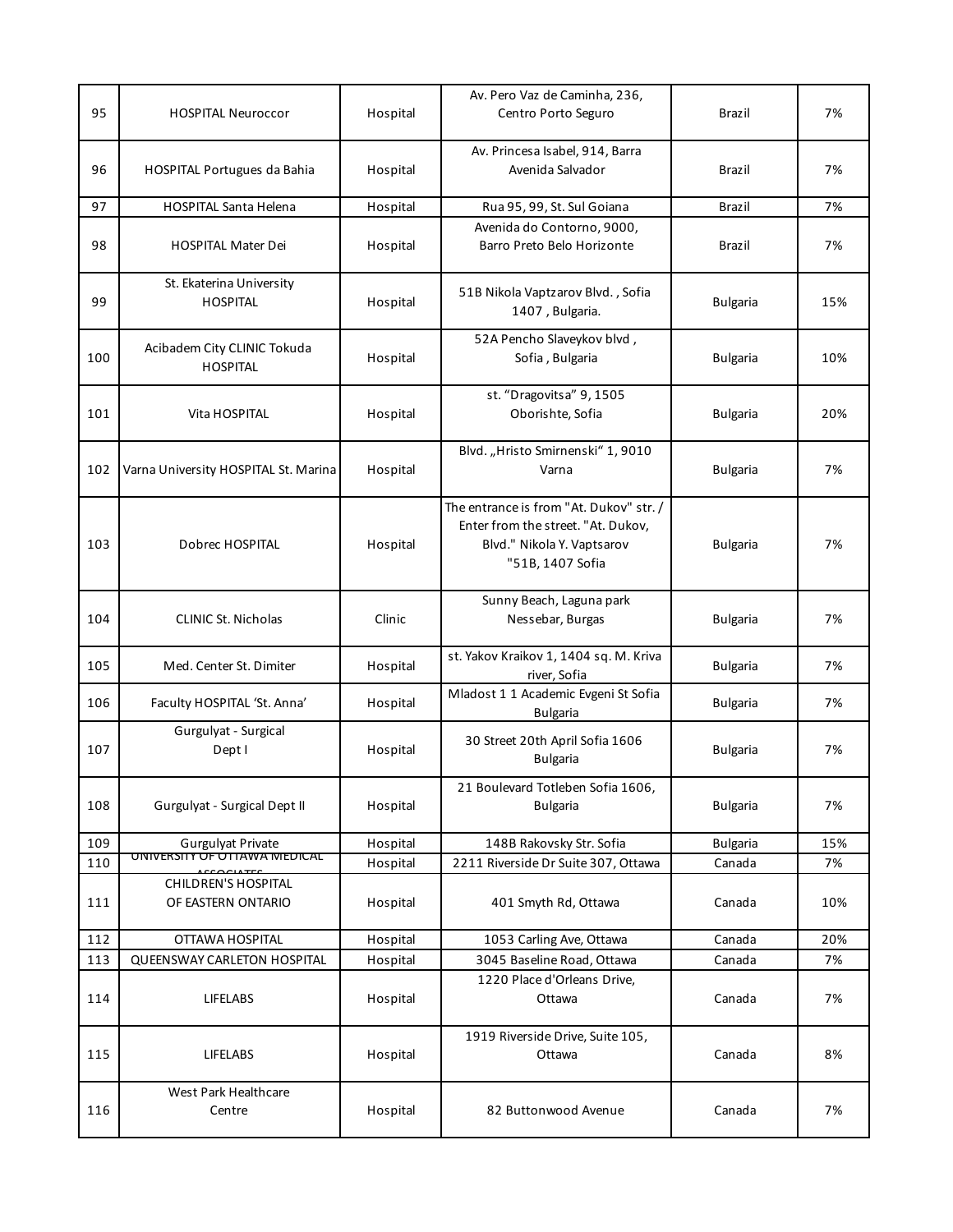|     |                                                  |          | Av. Pero Vaz de Caminha, 236,                                                                                                   |                 |     |
|-----|--------------------------------------------------|----------|---------------------------------------------------------------------------------------------------------------------------------|-----------------|-----|
| 95  | <b>HOSPITAL Neuroccor</b>                        | Hospital | Centro Porto Seguro                                                                                                             | Brazil          | 7%  |
| 96  | <b>HOSPITAL Portugues da Bahia</b>               | Hospital | Av. Princesa Isabel, 914, Barra<br>Avenida Salvador                                                                             | Brazil          | 7%  |
| 97  | <b>HOSPITAL Santa Helena</b>                     | Hospital | Rua 95, 99, St. Sul Goiana                                                                                                      | Brazil          | 7%  |
| 98  | <b>HOSPITAL Mater Dei</b>                        | Hospital | Avenida do Contorno, 9000,<br>Barro Preto Belo Horizonte                                                                        | Brazil          | 7%  |
| 99  | St. Ekaterina University<br><b>HOSPITAL</b>      | Hospital | 51B Nikola Vaptzarov Blvd., Sofia<br>1407, Bulgaria.                                                                            | <b>Bulgaria</b> | 15% |
| 100 | Acibadem City CLINIC Tokuda<br><b>HOSPITAL</b>   | Hospital | 52A Pencho Slaveykov blvd,<br>Sofia, Bulgaria                                                                                   | <b>Bulgaria</b> | 10% |
| 101 | Vita HOSPITAL                                    | Hospital | st. "Dragovitsa" 9, 1505<br>Oborishte, Sofia                                                                                    | <b>Bulgaria</b> | 20% |
| 102 | Varna University HOSPITAL St. Marina             | Hospital | Blvd. "Hristo Smirnenski" 1, 9010<br>Varna                                                                                      | <b>Bulgaria</b> | 7%  |
| 103 | Dobrec HOSPITAL                                  | Hospital | The entrance is from "At. Dukov" str. /<br>Enter from the street. "At. Dukov,<br>Blvd." Nikola Y. Vaptsarov<br>"51B, 1407 Sofia | <b>Bulgaria</b> | 7%  |
| 104 | <b>CLINIC St. Nicholas</b>                       | Clinic   | Sunny Beach, Laguna park<br>Nessebar, Burgas                                                                                    | <b>Bulgaria</b> | 7%  |
| 105 | Med. Center St. Dimiter                          | Hospital | st. Yakov Kraikov 1, 1404 sq. M. Kriva<br>river, Sofia                                                                          | <b>Bulgaria</b> | 7%  |
| 106 | Faculty HOSPITAL 'St. Anna'                      | Hospital | Mladost 1 1 Academic Evgeni St Sofia<br><b>Bulgaria</b>                                                                         | <b>Bulgaria</b> | 7%  |
| 107 | Gurgulyat - Surgical<br>Dept I                   | Hospital | 30 Street 20th April Sofia 1606<br><b>Bulgaria</b>                                                                              | <b>Bulgaria</b> | 7%  |
| 108 | Gurgulyat - Surgical Dept II                     | Hospital | 21 Boulevard Totleben Sofia 1606,<br><b>Bulgaria</b>                                                                            | <b>Bulgaria</b> | 7%  |
| 109 | <b>Gurgulyat Private</b>                         | Hospital | 148B Rakovsky Str. Sofia                                                                                                        | <b>Bulgaria</b> | 15% |
| 110 | UNIVERSITY OF OTTAWA MEDICAL                     | Hospital | 2211 Riverside Dr Suite 307, Ottawa                                                                                             | Canada          | 7%  |
| 111 | <b>CHILDREN'S HOSPITAL</b><br>OF EASTERN ONTARIO | Hospital | 401 Smyth Rd, Ottawa                                                                                                            | Canada          | 10% |
| 112 | OTTAWA HOSPITAL                                  | Hospital | 1053 Carling Ave, Ottawa                                                                                                        | Canada          | 20% |
| 113 | QUEENSWAY CARLETON HOSPITAL                      | Hospital | 3045 Baseline Road, Ottawa                                                                                                      | Canada          | 7%  |
| 114 | <b>LIFELABS</b>                                  | Hospital | 1220 Place d'Orleans Drive,<br>Ottawa                                                                                           | Canada          | 7%  |
| 115 | LIFELABS                                         | Hospital | 1919 Riverside Drive, Suite 105,<br>Ottawa                                                                                      | Canada          | 8%  |
| 116 | West Park Healthcare<br>Centre                   | Hospital | 82 Buttonwood Avenue                                                                                                            | Canada          | 7%  |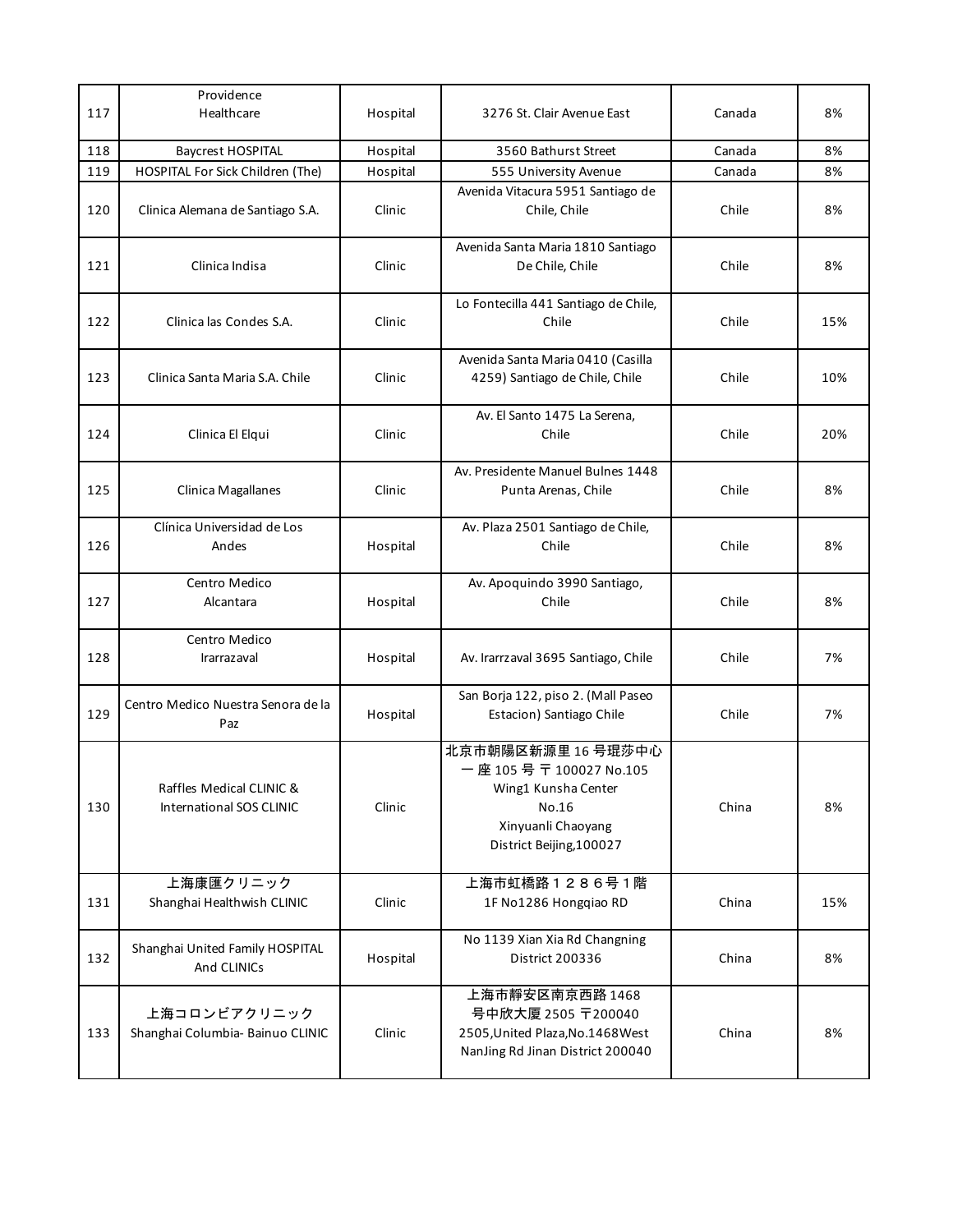| 117 | Providence<br>Healthcare                             | Hospital | 3276 St. Clair Avenue East                                                                                                    | Canada | 8%  |
|-----|------------------------------------------------------|----------|-------------------------------------------------------------------------------------------------------------------------------|--------|-----|
| 118 | <b>Baycrest HOSPITAL</b>                             | Hospital | 3560 Bathurst Street                                                                                                          | Canada | 8%  |
| 119 | HOSPITAL For Sick Children (The)                     | Hospital | 555 University Avenue                                                                                                         | Canada | 8%  |
| 120 | Clinica Alemana de Santiago S.A.                     | Clinic   | Avenida Vitacura 5951 Santiago de<br>Chile, Chile                                                                             | Chile  | 8%  |
| 121 | Clinica Indisa                                       | Clinic   | Avenida Santa Maria 1810 Santiago<br>De Chile, Chile                                                                          | Chile  | 8%  |
| 122 | Clinica las Condes S.A.                              | Clinic   | Lo Fontecilla 441 Santiago de Chile,<br>Chile                                                                                 | Chile  | 15% |
| 123 | Clinica Santa Maria S.A. Chile                       | Clinic   | Avenida Santa Maria 0410 (Casilla<br>4259) Santiago de Chile, Chile                                                           | Chile  | 10% |
| 124 | Clinica El Elqui                                     | Clinic   | Av. El Santo 1475 La Serena,<br>Chile                                                                                         | Chile  | 20% |
| 125 | Clinica Magallanes                                   | Clinic   | Av. Presidente Manuel Bulnes 1448<br>Punta Arenas, Chile                                                                      | Chile  | 8%  |
| 126 | Clínica Universidad de Los<br>Andes                  | Hospital | Av. Plaza 2501 Santiago de Chile,<br>Chile                                                                                    | Chile  | 8%  |
| 127 | Centro Medico<br>Alcantara                           | Hospital | Av. Apoquindo 3990 Santiago,<br>Chile                                                                                         | Chile  | 8%  |
| 128 | Centro Medico<br><b>Irarrazaval</b>                  | Hospital | Av. Irarrzaval 3695 Santiago, Chile                                                                                           | Chile  | 7%  |
| 129 | Centro Medico Nuestra Senora de la<br>Paz            | Hospital | San Borja 122, piso 2. (Mall Paseo<br>Estacion) Santiago Chile                                                                | Chile  | 7%  |
| 130 | Raffles Medical CLINIC &<br>International SOS CLINIC | Clinic   | 北京市朝陽区新源里 16 号琨莎中心<br>一座 105号〒100027 No.105<br>Wing1 Kunsha Center<br>No.16<br>Xinyuanli Chaoyang<br>District Beijing, 100027 | China  | 8%  |
| 131 | 上海康匯クリニック<br>Shanghai Healthwish CLINIC              | Clinic   | 上海市虹橋路1286号1階<br>1F No1286 Hongqiao RD                                                                                        | China  | 15% |
| 132 | Shanghai United Family HOSPITAL<br>And CLINICs       | Hospital | No 1139 Xian Xia Rd Changning<br>District 200336                                                                              | China  | 8%  |
| 133 | 上海コロンビアクリニック<br>Shanghai Columbia- Bainuo CLINIC     | Clinic   | 上海市靜安区南京西路 1468<br>号中欣大厦 2505 〒200040<br>2505, United Plaza, No. 1468 West<br>NanJing Rd Jinan District 200040                | China  | 8%  |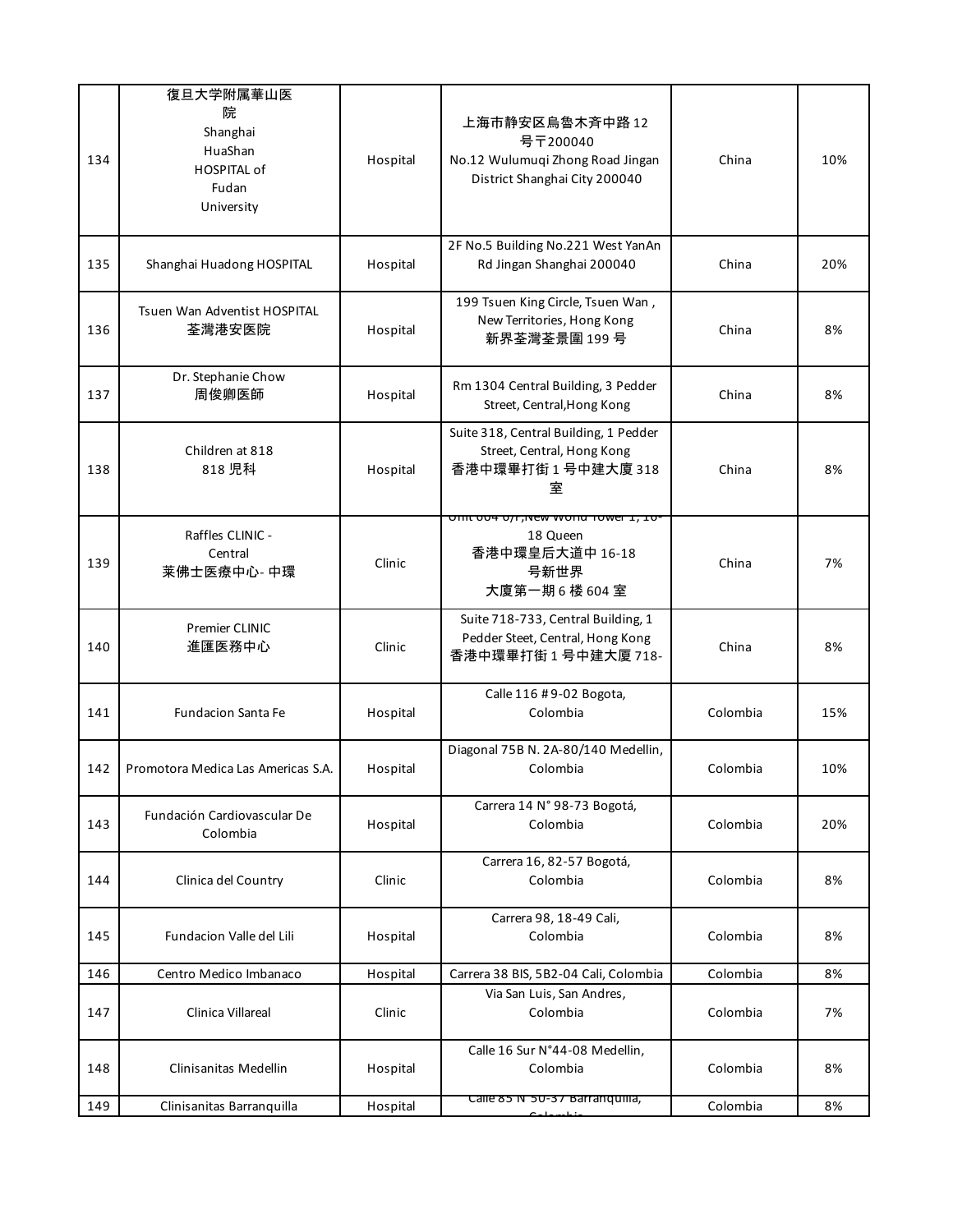| 134 | 復旦大学附属華山医<br>院<br>Shanghai<br>HuaShan<br><b>HOSPITAL of</b><br>Fudan<br>University | Hospital | 上海市静安区烏魯木斉中路 12<br>号〒200040<br>No.12 Wulumuqi Zhong Road Jingan<br>District Shanghai City 200040 | China    | 10% |
|-----|------------------------------------------------------------------------------------|----------|--------------------------------------------------------------------------------------------------|----------|-----|
| 135 | Shanghai Huadong HOSPITAL                                                          | Hospital | 2F No.5 Building No.221 West YanAn<br>Rd Jingan Shanghai 200040                                  | China    | 20% |
| 136 | Tsuen Wan Adventist HOSPITAL<br>荃灣港安医院                                             | Hospital | 199 Tsuen King Circle, Tsuen Wan,<br>New Territories, Hong Kong<br>新界荃灣荃景圍 199号                  | China    | 8%  |
| 137 | Dr. Stephanie Chow<br>周俊卿医師                                                        | Hospital | Rm 1304 Central Building, 3 Pedder<br>Street, Central, Hong Kong                                 | China    | 8%  |
| 138 | Children at 818<br>818 児科                                                          | Hospital | Suite 318, Central Building, 1 Pedder<br>Street, Central, Hong Kong<br>香港中環畢打街1号中建大廈318<br>室     | China    | 8%  |
| 139 | Raffles CLINIC -<br>Central<br>莱佛士医療中心-中環                                          | Clinic   | officious of the annul tower 1, 10.<br>18 Queen<br>香港中環皇后大道中 16-18<br>号新世界<br>大廈第一期6楼604室        | China    | 7%  |
| 140 | <b>Premier CLINIC</b><br>進匯医務中心                                                    | Clinic   | Suite 718-733, Central Building, 1<br>Pedder Steet, Central, Hong Kong<br>香港中環畢打街1号中建大厦 718-     | China    | 8%  |
| 141 | <b>Fundacion Santa Fe</b>                                                          | Hospital | Calle 116 #9-02 Bogota,<br>Colombia                                                              | Colombia | 15% |
| 142 | Promotora Medica Las Americas S.A.                                                 | Hospital | Diagonal 75B N. 2A-80/140 Medellin,<br>Colombia                                                  | Colombia | 10% |
| 143 | Fundación Cardiovascular De<br>Colombia                                            | Hospital | Carrera 14 Nº 98-73 Bogotá,<br>Colombia                                                          | Colombia | 20% |
| 144 | Clinica del Country                                                                | Clinic   | Carrera 16, 82-57 Bogotá,<br>Colombia                                                            | Colombia | 8%  |
| 145 | Fundacion Valle del Lili                                                           | Hospital | Carrera 98, 18-49 Cali,<br>Colombia                                                              | Colombia | 8%  |
| 146 | Centro Medico Imbanaco                                                             | Hospital | Carrera 38 BIS, 5B2-04 Cali, Colombia                                                            | Colombia | 8%  |
| 147 | Clinica Villareal                                                                  | Clinic   | Via San Luis, San Andres,<br>Colombia                                                            | Colombia | 7%  |
| 148 | Clinisanitas Medellin                                                              | Hospital | Calle 16 Sur N°44-08 Medellin,<br>Colombia                                                       | Colombia | 8%  |
| 149 | Clinisanitas Barranquilla                                                          | Hospital | Calle 85 N°50-37 Barranquilla,                                                                   | Colombia | 8%  |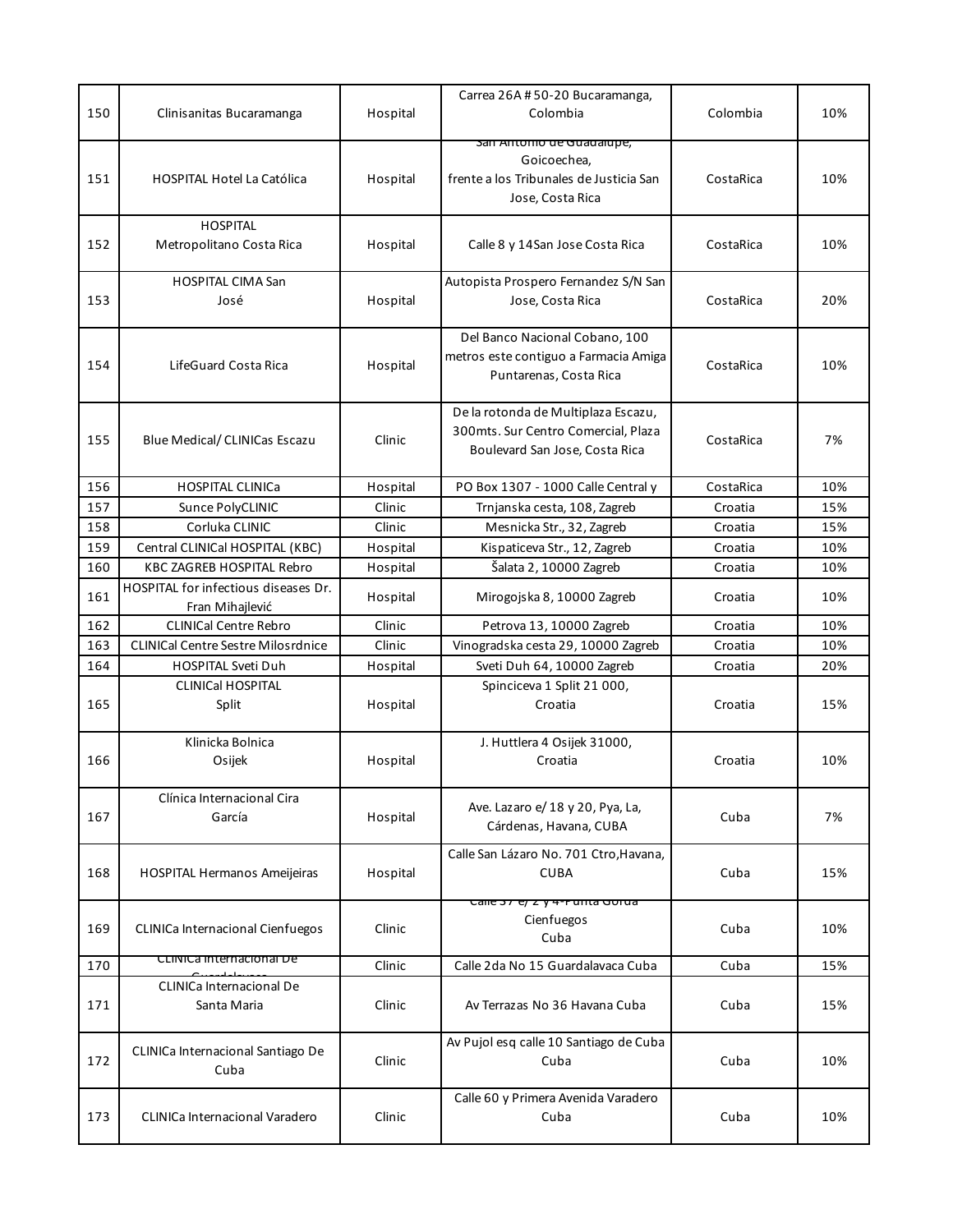| 150 | Clinisanitas Bucaramanga                                | Hospital | Carrea 26A #50-20 Bucaramanga,<br>Colombia                                                                     | Colombia  | 10% |
|-----|---------------------------------------------------------|----------|----------------------------------------------------------------------------------------------------------------|-----------|-----|
| 151 | <b>HOSPITAL Hotel La Católica</b>                       | Hospital | <u>san Antonio de Guadalupe,</u><br>Goicoechea,<br>frente a los Tribunales de Justicia San<br>Jose, Costa Rica | CostaRica | 10% |
| 152 | <b>HOSPITAL</b><br>Metropolitano Costa Rica             | Hospital | Calle 8 y 14San Jose Costa Rica                                                                                | CostaRica | 10% |
| 153 | <b>HOSPITAL CIMA San</b><br>José                        | Hospital | Autopista Prospero Fernandez S/N San<br>Jose, Costa Rica                                                       | CostaRica | 20% |
| 154 | LifeGuard Costa Rica                                    | Hospital | Del Banco Nacional Cobano, 100<br>metros este contiguo a Farmacia Amiga<br>Puntarenas, Costa Rica              | CostaRica | 10% |
| 155 | <b>Blue Medical/ CLINICas Escazu</b>                    | Clinic   | De la rotonda de Multiplaza Escazu,<br>300mts. Sur Centro Comercial, Plaza<br>Boulevard San Jose, Costa Rica   | CostaRica | 7%  |
| 156 | <b>HOSPITAL CLINICa</b>                                 | Hospital | PO Box 1307 - 1000 Calle Central y                                                                             | CostaRica | 10% |
| 157 | Sunce PolyCLINIC                                        | Clinic   | Trnjanska cesta, 108, Zagreb                                                                                   | Croatia   | 15% |
| 158 | Corluka CLINIC                                          | Clinic   | Mesnicka Str., 32, Zagreb                                                                                      | Croatia   | 15% |
| 159 | Central CLINICal HOSPITAL (KBC)                         | Hospital | Kispaticeva Str., 12, Zagreb                                                                                   | Croatia   | 10% |
| 160 | <b>KBC ZAGREB HOSPITAL Rebro</b>                        | Hospital | Šalata 2, 10000 Zagreb                                                                                         | Croatia   | 10% |
| 161 | HOSPITAL for infectious diseases Dr.<br>Fran Mihajlević | Hospital | Mirogojska 8, 10000 Zagreb                                                                                     | Croatia   | 10% |
| 162 | <b>CLINICal Centre Rebro</b>                            | Clinic   | Petrova 13, 10000 Zagreb                                                                                       | Croatia   | 10% |
| 163 | <b>CLINICal Centre Sestre Milosrdnice</b>               | Clinic   | Vinogradska cesta 29, 10000 Zagreb                                                                             | Croatia   | 10% |
| 164 | <b>HOSPITAL Sveti Duh</b>                               | Hospital | Sveti Duh 64, 10000 Zagreb                                                                                     | Croatia   | 20% |
| 165 | <b>CLINICal HOSPITAL</b><br>Split                       | Hospital | Spinciceva 1 Split 21 000,<br>Croatia                                                                          | Croatia   | 15% |
| 166 | Klinicka Bolnica<br>Osijek                              | Hospital | J. Huttlera 4 Osijek 31000,<br>Croatia                                                                         | Croatia   | 10% |
| 167 | Clínica Internacional Cira<br>García                    | Hospital | Ave. Lazaro e/ 18 y 20, Pya, La,<br>Cárdenas, Havana, CUBA                                                     | Cuba      | 7%  |
| 168 | <b>HOSPITAL Hermanos Ameijeiras</b>                     | Hospital | Calle San Lázaro No. 701 Ctro, Havana,<br><b>CUBA</b>                                                          | Cuba      | 15% |
| 169 | CLINICa Internacional Cienfuegos                        | Clinic   | <del>Calle 37 e/ z y 4-ruinta Gorua</del><br>Cienfuegos<br>Cuba                                                | Cuba      | 10% |
| 170 | CLINICa Internacional De                                | Clinic   | Calle 2da No 15 Guardalavaca Cuba                                                                              | Cuba      | 15% |
| 171 | <b>CLINICa Internacional De</b><br>Santa Maria          | Clinic   | Av Terrazas No 36 Havana Cuba                                                                                  | Cuba      | 15% |
| 172 | CLINICa Internacional Santiago De<br>Cuba               | Clinic   | Av Pujol esq calle 10 Santiago de Cuba<br>Cuba                                                                 | Cuba      | 10% |
|     |                                                         |          | Calle 60 y Primera Avenida Varadero                                                                            |           |     |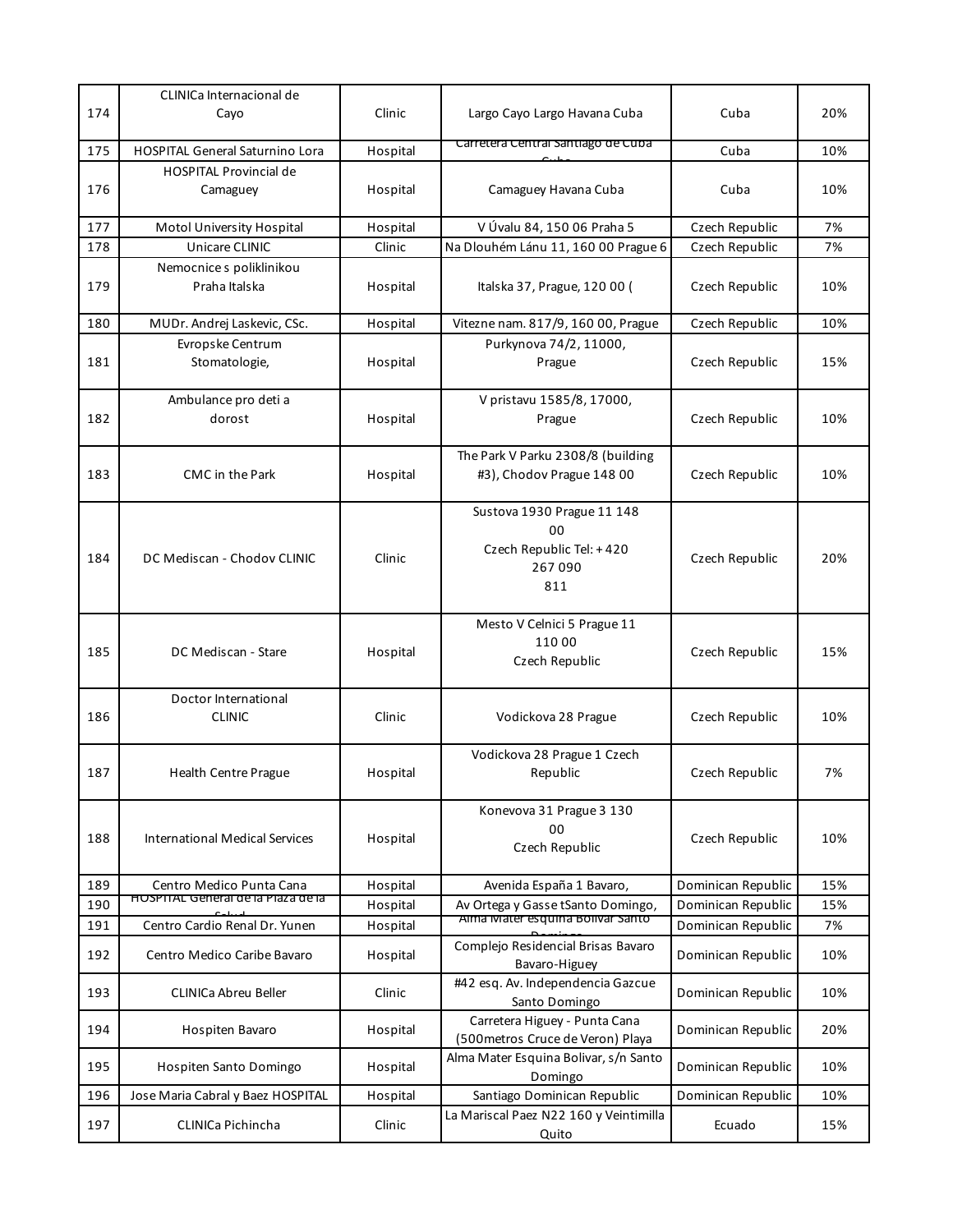| 174 | CLINICa Internacional de<br>Cayo                               | Clinic   | Largo Cayo Largo Havana Cuba                                                  | Cuba               | 20% |
|-----|----------------------------------------------------------------|----------|-------------------------------------------------------------------------------|--------------------|-----|
| 175 | <b>HOSPITAL General Saturnino Lora</b>                         | Hospital | Carretera Central Santiago de Cuba                                            | Cuba               | 10% |
| 176 | <b>HOSPITAL Provincial de</b><br>Camaguey                      | Hospital | Camaguey Havana Cuba                                                          | Cuba               | 10% |
| 177 | Motol University Hospital                                      | Hospital | V Úvalu 84, 150 06 Praha 5                                                    | Czech Republic     | 7%  |
| 178 | Unicare CLINIC                                                 | Clinic   | Na Dlouhém Lánu 11, 160 00 Prague 6                                           | Czech Republic     | 7%  |
| 179 | Nemocnice s poliklinikou<br>Praha Italska                      | Hospital | Italska 37, Prague, 120 00 (                                                  | Czech Republic     | 10% |
| 180 | MUDr. Andrej Laskevic, CSc.                                    | Hospital | Vitezne nam. 817/9, 160 00, Prague                                            | Czech Republic     | 10% |
| 181 | Evropske Centrum<br>Stomatologie,                              | Hospital | Purkynova 74/2, 11000,<br>Prague                                              | Czech Republic     | 15% |
| 182 | Ambulance pro deti a<br>dorost                                 | Hospital | V pristavu 1585/8, 17000,<br>Prague                                           | Czech Republic     | 10% |
| 183 | <b>CMC</b> in the Park                                         | Hospital | The Park V Parku 2308/8 (building<br>#3), Chodov Prague 148 00                | Czech Republic     | 10% |
| 184 | DC Mediscan - Chodov CLINIC                                    | Clinic   | Sustova 1930 Prague 11 148<br>00<br>Czech Republic Tel: +420<br>267090<br>811 | Czech Republic     | 20% |
| 185 | DC Mediscan - Stare                                            | Hospital | Mesto V Celnici 5 Prague 11<br>110 00<br>Czech Republic                       | Czech Republic     | 15% |
| 186 | Doctor International<br><b>CLINIC</b>                          | Clinic   | Vodickova 28 Prague                                                           | Czech Republic     | 10% |
| 187 | <b>Health Centre Prague</b>                                    | Hospital | Vodickova 28 Prague 1 Czech<br>Republic                                       | Czech Republic     | 7%  |
| 188 | <b>International Medical Services</b>                          | Hospital | Konevova 31 Prague 3 130<br>00<br>Czech Republic                              | Czech Republic     | 10% |
| 189 | Centro Medico Punta Cana<br>HOSPITAL General de la Plaza de la | Hospital | Avenida España 1 Bavaro,                                                      | Dominican Republic | 15% |
| 190 |                                                                | Hospital | Av Ortega y Gasse tSanto Domingo,<br>Alma Mater esquina Bolivar Santo         | Dominican Republic | 15% |
| 191 | Centro Cardio Renal Dr. Yunen                                  | Hospital |                                                                               | Dominican Republic | 7%  |
| 192 | Centro Medico Caribe Bavaro                                    | Hospital | Complejo Residencial Brisas Bavaro<br>Bavaro-Higuey                           | Dominican Republic | 10% |
| 193 | CLINICa Abreu Beller                                           | Clinic   | #42 esq. Av. Independencia Gazcue<br>Santo Domingo                            | Dominican Republic | 10% |
| 194 | Hospiten Bavaro                                                | Hospital | Carretera Higuey - Punta Cana<br>(500 metros Cruce de Veron) Playa            | Dominican Republic | 20% |
| 195 | Hospiten Santo Domingo                                         | Hospital | Alma Mater Esquina Bolivar, s/n Santo<br>Domingo                              | Dominican Republic | 10% |
| 196 | Jose Maria Cabral y Baez HOSPITAL                              | Hospital | Santiago Dominican Republic                                                   | Dominican Republic | 10% |
| 197 | CLINICa Pichincha                                              | Clinic   | La Mariscal Paez N22 160 y Veintimilla<br>Quito                               | Ecuado             | 15% |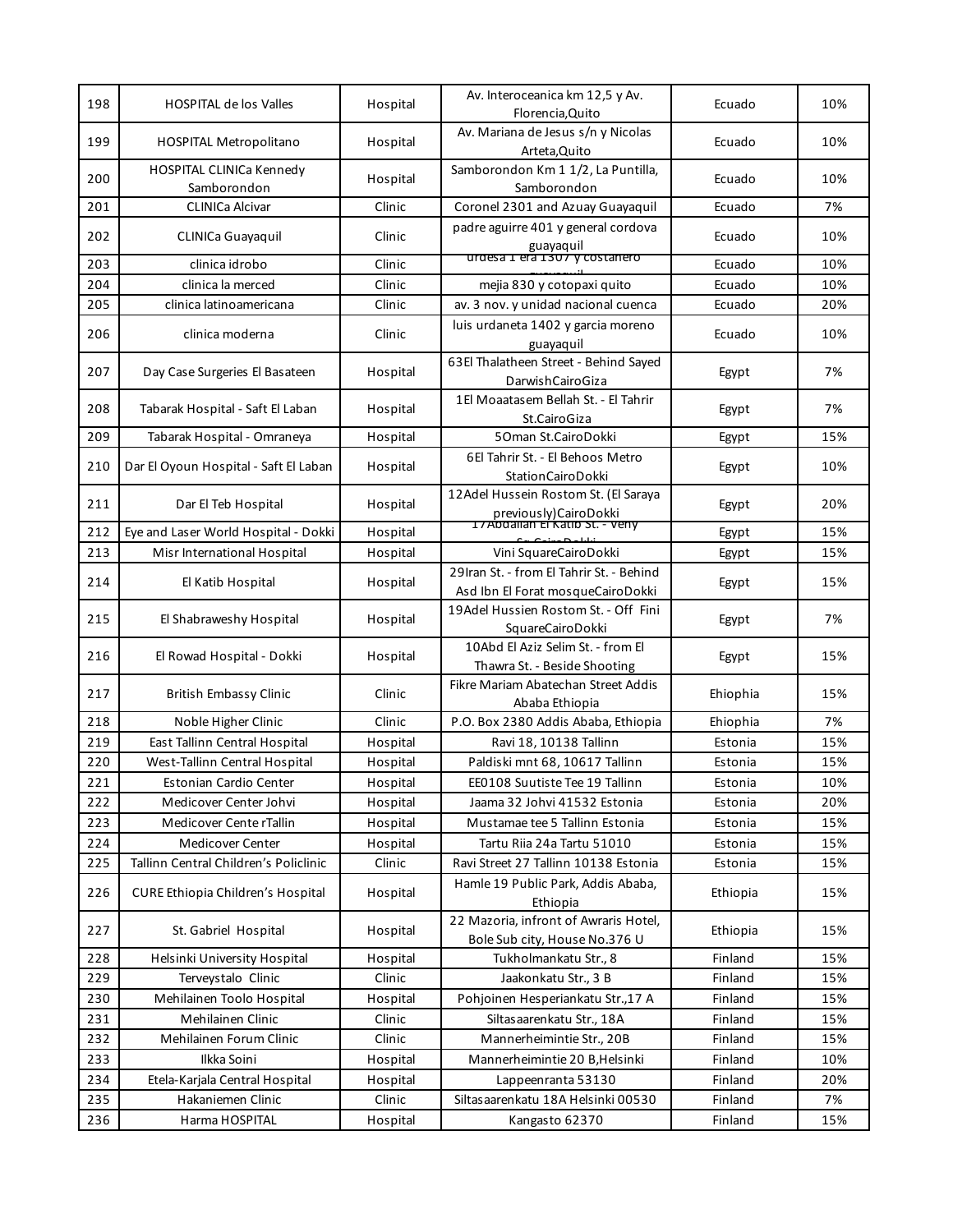| 198 | <b>HOSPITAL de los Valles</b>                  | Hospital | Av. Interoceanica km 12,5 y Av.<br>Florencia, Quito                                             | Ecuado   | 10% |
|-----|------------------------------------------------|----------|-------------------------------------------------------------------------------------------------|----------|-----|
| 199 | <b>HOSPITAL Metropolitano</b>                  | Hospital | Av. Mariana de Jesus s/n y Nicolas<br>Arteta, Quito                                             | Ecuado   | 10% |
| 200 | <b>HOSPITAL CLINICa Kennedy</b><br>Samborondon | Hospital | Samborondon Km 1 1/2, La Puntilla,<br>Samborondon                                               | Ecuado   | 10% |
| 201 | <b>CLINICa Alcivar</b>                         | Clinic   | Coronel 2301 and Azuay Guayaquil                                                                | Ecuado   | 7%  |
| 202 | CLINICa Guayaquil                              | Clinic   | padre aguirre 401 y general cordova<br>guayaquil<br>urdesa 1 era 1307 y costanero               | Ecuado   | 10% |
| 203 | clinica idrobo                                 | Clinic   |                                                                                                 | Ecuado   | 10% |
| 204 | clinica la merced                              | Clinic   | mejia 830 y cotopaxi quito                                                                      | Ecuado   | 10% |
| 205 | clinica latinoamericana                        | Clinic   | av. 3 nov. y unidad nacional cuenca                                                             | Ecuado   | 20% |
| 206 | clinica moderna                                | Clinic   | luis urdaneta 1402 y garcia moreno<br>guayaquil                                                 | Ecuado   | 10% |
| 207 | Day Case Surgeries El Basateen                 | Hospital | 63El Thalatheen Street - Behind Sayed<br>DarwishCairoGiza                                       | Egypt    | 7%  |
| 208 | Tabarak Hospital - Saft El Laban               | Hospital | 1El Moaatasem Bellah St. - El Tahrir<br>St.CairoGiza                                            | Egypt    | 7%  |
| 209 | Tabarak Hospital - Omraneya                    | Hospital | 50man St.CairoDokki                                                                             | Egypt    | 15% |
|     |                                                |          | 6El Tahrir St. - El Behoos Metro                                                                |          |     |
| 210 | Dar El Oyoun Hospital - Saft El Laban          | Hospital | StationCairoDokki                                                                               | Egypt    | 10% |
| 211 | Dar El Teb Hospital                            | Hospital | 12Adel Hussein Rostom St. (El Saraya<br>previously)CairoDokki<br>IZADDallah El Katib St. - Veny | Egypt    | 20% |
| 212 | Eye and Laser World Hospital - Dokki           | Hospital |                                                                                                 | Egypt    | 15% |
| 213 | Misr International Hospital                    | Hospital | Vini SquareCairoDokki                                                                           | Egypt    | 15% |
| 214 | El Katib Hospital                              | Hospital | 29Iran St. - from El Tahrir St. - Behind<br>Asd Ibn El Forat mosqueCairoDokki                   | Egypt    | 15% |
| 215 | El Shabraweshy Hospital                        | Hospital | 19Adel Hussien Rostom St. - Off Fini<br>SquareCairoDokki                                        | Egypt    | 7%  |
| 216 | El Rowad Hospital - Dokki                      | Hospital | 10Abd El Aziz Selim St. - from El<br>Thawra St. - Beside Shooting                               | Egypt    | 15% |
| 217 | <b>British Embassy Clinic</b>                  | Clinic   | Fikre Mariam Abatechan Street Addis<br>Ababa Ethiopia                                           | Ehiophia | 15% |
| 218 | Noble Higher Clinic                            | Clinic   | P.O. Box 2380 Addis Ababa, Ethiopia                                                             | Ehiophia | 7%  |
| 219 | East Tallinn Central Hospital                  | Hospital | Ravi 18, 10138 Tallinn                                                                          | Estonia  | 15% |
| 220 | West-Tallinn Central Hospital                  | Hospital | Paldiski mnt 68, 10617 Tallinn                                                                  | Estonia  | 15% |
| 221 | Estonian Cardio Center                         | Hospital | EE0108 Suutiste Tee 19 Tallinn                                                                  | Estonia  | 10% |
| 222 | Medicover Center Johvi                         | Hospital | Jaama 32 Johvi 41532 Estonia                                                                    | Estonia  | 20% |
| 223 | Medicover Cente rTallin                        | Hospital | Mustamae tee 5 Tallinn Estonia                                                                  | Estonia  | 15% |
| 224 | Medicover Center                               | Hospital | Tartu Riia 24a Tartu 51010                                                                      | Estonia  | 15% |
| 225 | Tallinn Central Children's Policlinic          | Clinic   | Ravi Street 27 Tallinn 10138 Estonia                                                            | Estonia  | 15% |
| 226 | CURE Ethiopia Children's Hospital              | Hospital | Hamle 19 Public Park, Addis Ababa,<br>Ethiopia                                                  | Ethiopia | 15% |
| 227 | St. Gabriel Hospital                           | Hospital | 22 Mazoria, infront of Awraris Hotel,<br>Bole Sub city, House No.376 U                          | Ethiopia | 15% |
| 228 | Helsinki University Hospital                   | Hospital | Tukholmankatu Str., 8                                                                           | Finland  | 15% |
| 229 | Terveystalo Clinic                             | Clinic   | Jaakonkatu Str., 3 B                                                                            | Finland  | 15% |
| 230 | Mehilainen Toolo Hospital                      | Hospital | Pohjoinen Hesperiankatu Str., 17 A                                                              | Finland  | 15% |
| 231 | Mehilainen Clinic                              | Clinic   | Siltasaarenkatu Str., 18A                                                                       | Finland  | 15% |
| 232 | Mehilainen Forum Clinic                        | Clinic   | Mannerheimintie Str., 20B                                                                       | Finland  | 15% |
| 233 | Ilkka Soini                                    | Hospital | Mannerheimintie 20 B, Helsinki                                                                  | Finland  | 10% |
| 234 | Etela-Karjala Central Hospital                 | Hospital | Lappeenranta 53130                                                                              | Finland  | 20% |
| 235 | Hakaniemen Clinic                              | Clinic   | Siltasaarenkatu 18A Helsinki 00530                                                              | Finland  | 7%  |
| 236 | Harma HOSPITAL                                 | Hospital | Kangasto 62370                                                                                  | Finland  | 15% |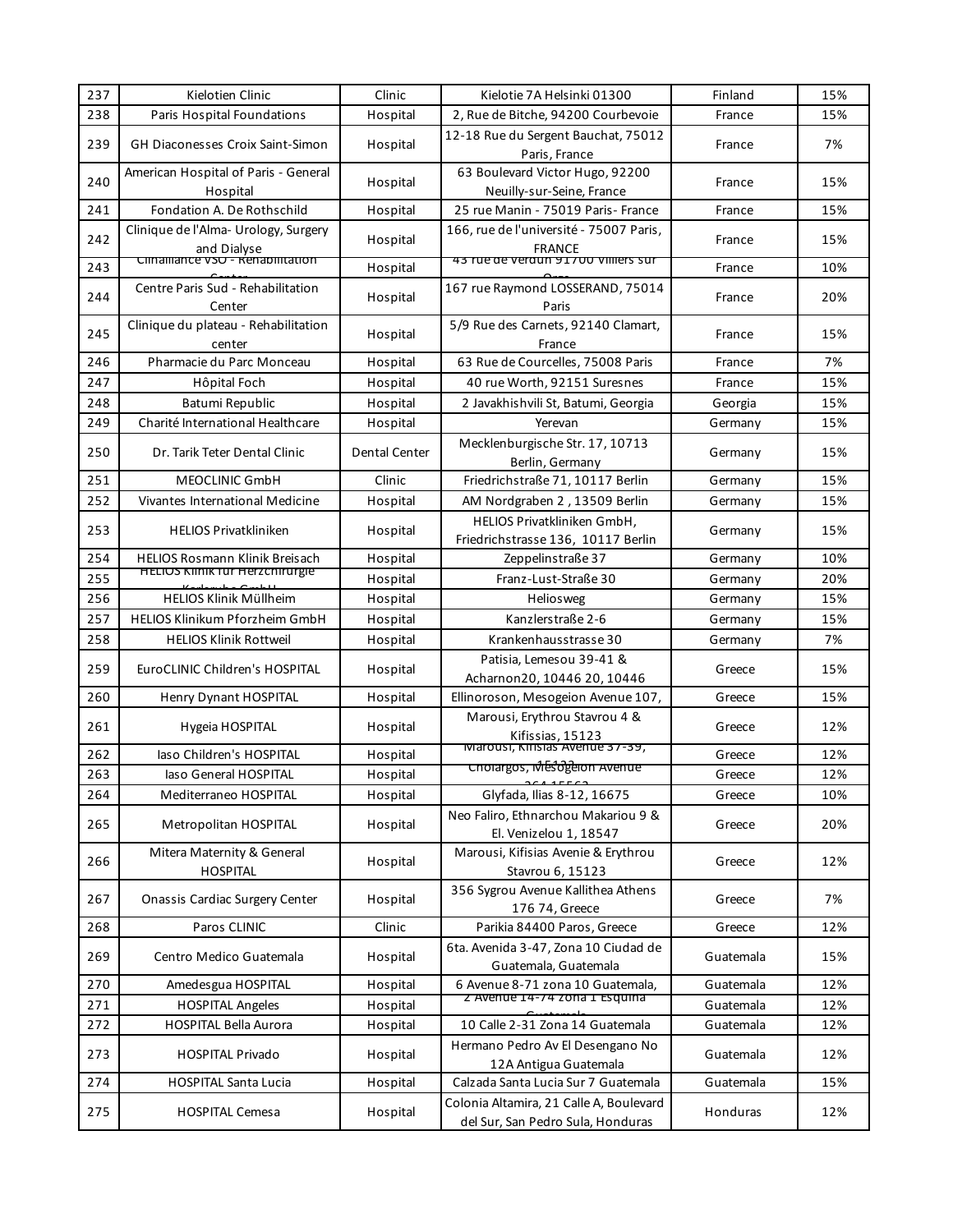| 237 | Kielotien Clinic                                   | Clinic        | Kielotie 7A Helsinki 01300                                                   | Finland   | 15% |
|-----|----------------------------------------------------|---------------|------------------------------------------------------------------------------|-----------|-----|
| 238 | Paris Hospital Foundations                         | Hospital      | 2, Rue de Bitche, 94200 Courbevoie                                           | France    | 15% |
| 239 | <b>GH Diaconesses Croix Saint-Simon</b>            | Hospital      | 12-18 Rue du Sergent Bauchat, 75012<br>Paris, France                         | France    | 7%  |
| 240 | American Hospital of Paris - General<br>Hospital   | Hospital      | 63 Boulevard Victor Hugo, 92200<br>Neuilly-sur-Seine, France                 | France    | 15% |
| 241 | Fondation A. De Rothschild                         | Hospital      | 25 rue Manin - 75019 Paris- France                                           | France    | 15% |
| 242 | Clinique de l'Alma-Urology, Surgery<br>and Dialyse | Hospital      | 166, rue de l'université - 75007 Paris,<br><b>FRANCE</b>                     | France    | 15% |
| 243 | Cimalilance vso - Renabilitation                   | Hospital      | 43 rue de verdun 91700 villiers sur                                          | France    | 10% |
| 244 | Centre Paris Sud - Rehabilitation<br>Center        | Hospital      | 167 rue Raymond LOSSERAND, 75014<br>Paris                                    | France    | 20% |
| 245 | Clinique du plateau - Rehabilitation<br>center     | Hospital      | 5/9 Rue des Carnets, 92140 Clamart,<br>France                                | France    | 15% |
| 246 | Pharmacie du Parc Monceau                          | Hospital      | 63 Rue de Courcelles, 75008 Paris                                            | France    | 7%  |
| 247 | Hôpital Foch                                       | Hospital      | 40 rue Worth, 92151 Suresnes                                                 | France    | 15% |
| 248 | Batumi Republic                                    | Hospital      | 2 Javakhishvili St, Batumi, Georgia                                          | Georgia   | 15% |
| 249 | Charité International Healthcare                   | Hospital      | Yerevan                                                                      | Germany   | 15% |
| 250 | Dr. Tarik Teter Dental Clinic                      | Dental Center | Mecklenburgische Str. 17, 10713<br>Berlin, Germany                           | Germany   | 15% |
| 251 | MEOCLINIC GmbH                                     | Clinic        | Friedrichstraße 71, 10117 Berlin                                             | Germany   | 15% |
| 252 | Vivantes International Medicine                    | Hospital      | AM Nordgraben 2, 13509 Berlin                                                | Germany   | 15% |
| 253 | <b>HELIOS Privatkliniken</b>                       | Hospital      | HELIOS Privatkliniken GmbH,<br>Friedrichstrasse 136, 10117 Berlin            | Germany   | 15% |
| 254 | <b>HELIOS Rosmann Klinik Breisach</b>              | Hospital      | Zeppelinstraße 37                                                            | Germany   | 10% |
| 255 | <b>HELIOS KIINIK TUT HEIZCHITUTEIE</b>             | Hospital      | Franz-Lust-Straße 30                                                         | Germany   | 20% |
| 256 | HELIOS Klinik Müllheim                             | Hospital      | Heliosweg                                                                    | Germany   | 15% |
| 257 | HELIOS Klinikum Pforzheim GmbH                     | Hospital      | Kanzlerstraße 2-6                                                            | Germany   | 15% |
| 258 | <b>HELIOS Klinik Rottweil</b>                      | Hospital      | Krankenhausstrasse 30                                                        | Germany   | 7%  |
| 259 | EuroCLINIC Children's HOSPITAL                     | Hospital      | Patisia, Lemesou 39-41 &<br>Acharnon20, 10446 20, 10446                      | Greece    | 15% |
| 260 | Henry Dynant HOSPITAL                              | Hospital      | Ellinoroson, Mesogeion Avenue 107,                                           | Greece    | 15% |
| 261 | Hygeia HOSPITAL                                    | Hospital      | Marousi, Erythrou Stavrou 4 &<br>Kifissias, 15123                            | Greece    | 12% |
| 262 | laso Children's HOSPITAL                           | Hospital      | Marousi, Kifisias Avenue 37-39,                                              | Greece    | 12% |
| 263 | laso General HOSPITAL                              | Hospital      | Cholargos, Mesogelon Avenue                                                  | Greece    | 12% |
| 264 | Mediterraneo HOSPITAL                              | Hospital      | Glyfada, Ilias 8-12, 16675                                                   | Greece    | 10% |
| 265 | Metropolitan HOSPITAL                              | Hospital      | Neo Faliro, Ethnarchou Makariou 9 &<br>El. Venizelou 1, 18547                | Greece    | 20% |
| 266 | Mitera Maternity & General<br><b>HOSPITAL</b>      | Hospital      | Marousi, Kifisias Avenie & Erythrou<br>Stavrou 6, 15123                      | Greece    | 12% |
| 267 | <b>Onassis Cardiac Surgery Center</b>              | Hospital      | 356 Sygrou Avenue Kallithea Athens<br>176 74, Greece                         | Greece    | 7%  |
| 268 | Paros CLINIC                                       | Clinic        | Parikia 84400 Paros, Greece                                                  | Greece    | 12% |
| 269 | Centro Medico Guatemala                            | Hospital      | 6ta. Avenida 3-47, Zona 10 Ciudad de<br>Guatemala, Guatemala                 | Guatemala | 15% |
| 270 | Amedesgua HOSPITAL                                 | Hospital      | 6 Avenue 8-71 zona 10 Guatemala,                                             | Guatemala | 12% |
| 271 | <b>HOSPITAL Angeles</b>                            | Hospital      | z Avenue 14-74 zona i Esquina                                                | Guatemala | 12% |
| 272 | HOSPITAL Bella Aurora                              | Hospital      | 10 Calle 2-31 Zona 14 Guatemala                                              | Guatemala | 12% |
| 273 | <b>HOSPITAL Privado</b>                            | Hospital      | Hermano Pedro Av El Desengano No<br>12A Antigua Guatemala                    | Guatemala | 12% |
| 274 | <b>HOSPITAL Santa Lucia</b>                        | Hospital      | Calzada Santa Lucia Sur 7 Guatemala                                          | Guatemala | 15% |
| 275 | <b>HOSPITAL Cemesa</b>                             | Hospital      | Colonia Altamira, 21 Calle A, Boulevard<br>del Sur, San Pedro Sula, Honduras | Honduras  | 12% |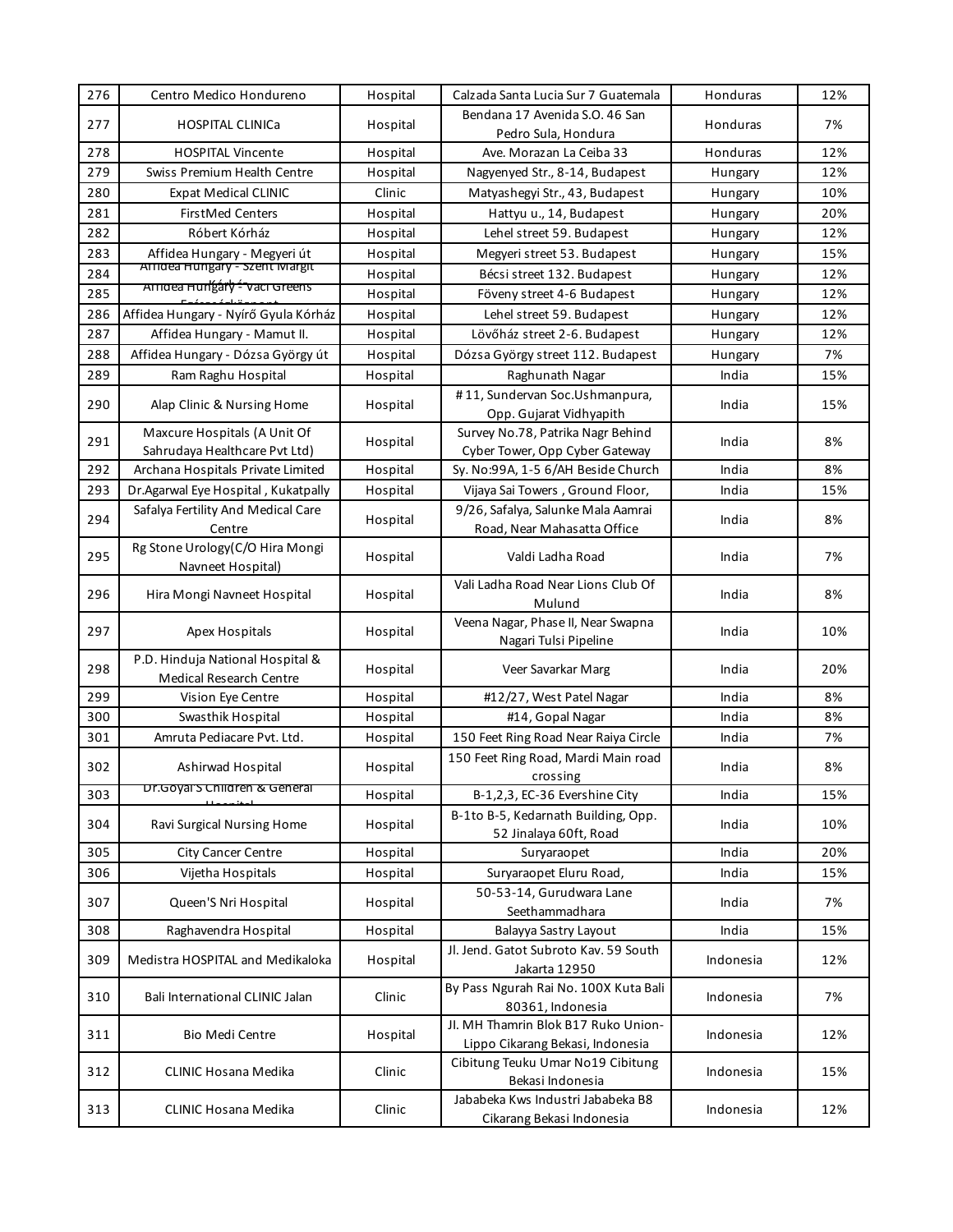| 276 | Centro Medico Hondureno                                        | Hospital | Calzada Santa Lucia Sur 7 Guatemala                                     | Honduras  | 12% |
|-----|----------------------------------------------------------------|----------|-------------------------------------------------------------------------|-----------|-----|
| 277 | <b>HOSPITAL CLINICa</b>                                        | Hospital | Bendana 17 Avenida S.O. 46 San                                          | Honduras  | 7%  |
|     |                                                                |          | Pedro Sula, Hondura                                                     |           |     |
| 278 | <b>HOSPITAL Vincente</b>                                       | Hospital | Ave. Morazan La Ceiba 33                                                | Honduras  | 12% |
| 279 | Swiss Premium Health Centre                                    | Hospital | Nagyenyed Str., 8-14, Budapest                                          | Hungary   | 12% |
| 280 | <b>Expat Medical CLINIC</b>                                    | Clinic   | Matyashegyi Str., 43, Budapest                                          | Hungary   | 10% |
| 281 | <b>FirstMed Centers</b>                                        | Hospital | Hattyu u., 14, Budapest                                                 | Hungary   | 20% |
| 282 | Róbert Kórház                                                  | Hospital | Lehel street 59. Budapest                                               | Hungary   | 12% |
| 283 | Affidea Hungary - Megyeri út<br>Afficea Hungary - Szent Margit | Hospital | Megyeri street 53. Budapest                                             | Hungary   | 15% |
| 284 | Arriaea Hungáry - vaci Greens                                  | Hospital | Bécsi street 132. Budapest                                              | Hungary   | 12% |
| 285 |                                                                | Hospital | Föveny street 4-6 Budapest                                              | Hungary   | 12% |
| 286 | Affidea Hungary - Nyírő Gyula Kórház                           | Hospital | Lehel street 59. Budapest                                               | Hungary   | 12% |
| 287 | Affidea Hungary - Mamut II.                                    | Hospital | Lövőház street 2-6. Budapest                                            | Hungary   | 12% |
| 288 | Affidea Hungary - Dózsa György út                              | Hospital | Dózsa György street 112. Budapest                                       | Hungary   | 7%  |
| 289 | Ram Raghu Hospital                                             | Hospital | Raghunath Nagar                                                         | India     | 15% |
| 290 | Alap Clinic & Nursing Home                                     | Hospital | #11, Sundervan Soc.Ushmanpura,<br>Opp. Gujarat Vidhyapith               | India     | 15% |
|     | Maxcure Hospitals (A Unit Of                                   |          | Survey No.78, Patrika Nagr Behind                                       |           |     |
| 291 | Sahrudaya Healthcare Pvt Ltd)                                  | Hospital | Cyber Tower, Opp Cyber Gateway                                          | India     | 8%  |
| 292 | Archana Hospitals Private Limited                              | Hospital | Sy. No:99A, 1-5 6/AH Beside Church                                      | India     | 8%  |
| 293 | Dr.Agarwal Eye Hospital, Kukatpally                            | Hospital | Vijaya Sai Towers, Ground Floor,                                        | India     | 15% |
|     | Safalya Fertility And Medical Care                             |          | 9/26, Safalya, Salunke Mala Aamrai                                      |           |     |
| 294 | Centre                                                         | Hospital | Road, Near Mahasatta Office                                             | India     | 8%  |
| 295 | Rg Stone Urology(C/O Hira Mongi<br>Navneet Hospital)           | Hospital | Valdi Ladha Road                                                        | India     | 7%  |
| 296 | Hira Mongi Navneet Hospital                                    | Hospital | Vali Ladha Road Near Lions Club Of<br>Mulund                            | India     | 8%  |
| 297 | Apex Hospitals                                                 | Hospital | Veena Nagar, Phase II, Near Swapna<br>Nagari Tulsi Pipeline             | India     | 10% |
| 298 | P.D. Hinduja National Hospital &<br>Medical Research Centre    | Hospital | Veer Savarkar Marg                                                      | India     | 20% |
| 299 | Vision Eye Centre                                              | Hospital | #12/27, West Patel Nagar                                                | India     | 8%  |
| 300 | Swasthik Hospital                                              | Hospital | #14, Gopal Nagar                                                        | India     | 8%  |
| 301 | Amruta Pediacare Pvt. Ltd.                                     | Hospital | 150 Feet Ring Road Near Raiya Circle                                    | India     | 7%  |
| 302 | Ashirwad Hospital                                              | Hospital | 150 Feet Ring Road, Mardi Main road<br>crossing                         | India     | 8%  |
| 303 | Dr.Goyal S Children & General                                  | Hospital | B-1,2,3, EC-36 Evershine City                                           | India     | 15% |
| 304 | Ravi Surgical Nursing Home                                     | Hospital | B-1to B-5, Kedarnath Building, Opp.<br>52 Jinalaya 60ft, Road           | India     | 10% |
| 305 | <b>City Cancer Centre</b>                                      | Hospital | Suryaraopet                                                             | India     | 20% |
| 306 | Vijetha Hospitals                                              | Hospital | Suryaraopet Eluru Road,                                                 | India     | 15% |
| 307 | Queen'S Nri Hospital                                           | Hospital | 50-53-14, Gurudwara Lane<br>Seethammadhara                              | India     | 7%  |
| 308 | Raghavendra Hospital                                           | Hospital | Balayya Sastry Layout                                                   | India     | 15% |
|     |                                                                |          | Jl. Jend. Gatot Subroto Kav. 59 South                                   |           |     |
| 309 | Medistra HOSPITAL and Medikaloka                               | Hospital | Jakarta 12950                                                           | Indonesia | 12% |
| 310 | Bali International CLINIC Jalan                                | Clinic   | By Pass Ngurah Rai No. 100X Kuta Bali<br>80361, Indonesia               | Indonesia | 7%  |
| 311 | <b>Bio Medi Centre</b>                                         | Hospital | JI. MH Thamrin Blok B17 Ruko Union-<br>Lippo Cikarang Bekasi, Indonesia | Indonesia | 12% |
| 312 | <b>CLINIC Hosana Medika</b>                                    | Clinic   | Cibitung Teuku Umar No19 Cibitung<br>Bekasi Indonesia                   | Indonesia | 15% |
| 313 | <b>CLINIC Hosana Medika</b>                                    | Clinic   | Jababeka Kws Industri Jababeka B8<br>Cikarang Bekasi Indonesia          | Indonesia | 12% |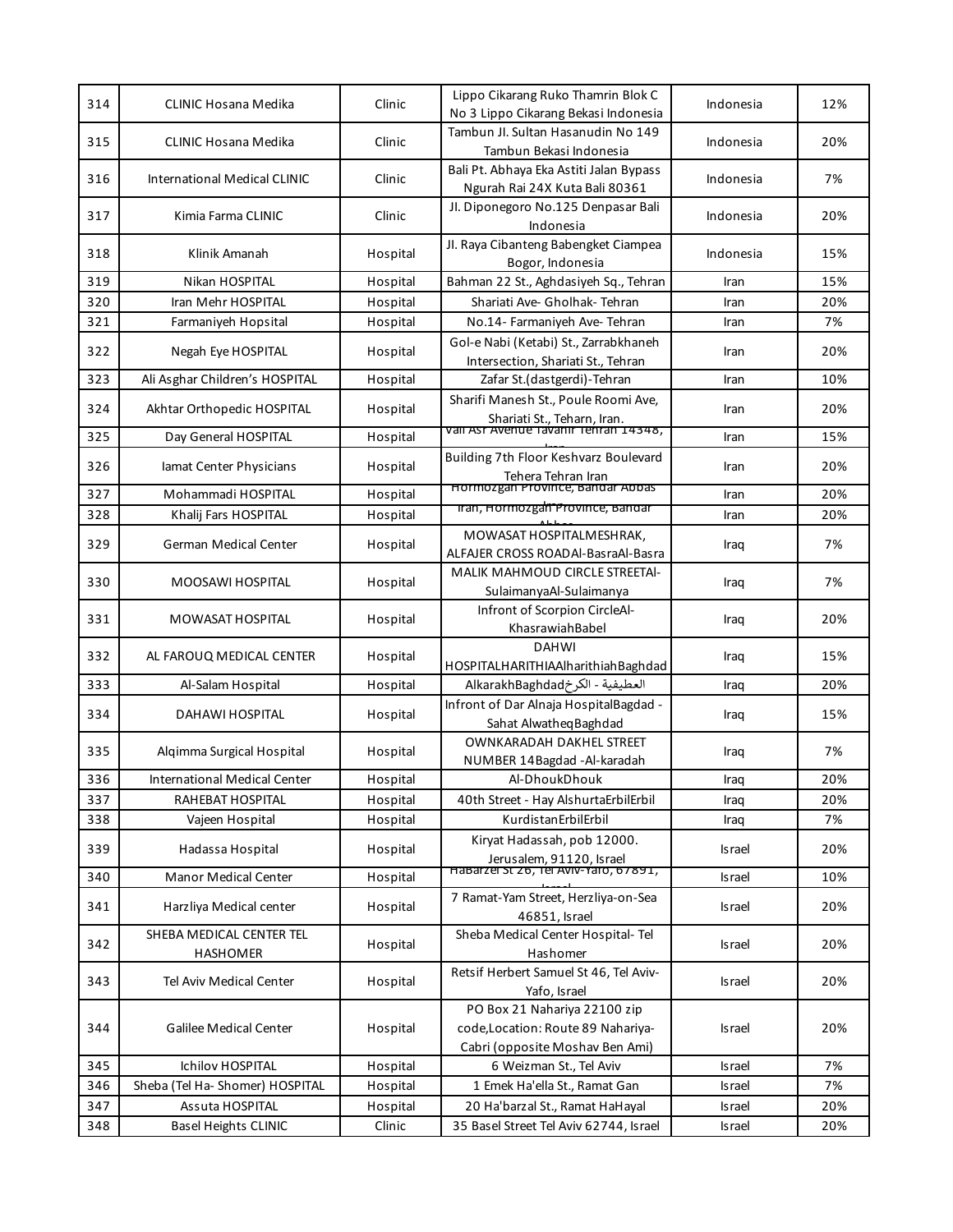|     |                                 |          | Lippo Cikarang Ruko Thamrin Blok C                        |               |     |
|-----|---------------------------------|----------|-----------------------------------------------------------|---------------|-----|
| 314 | CLINIC Hosana Medika            | Clinic   | No 3 Lippo Cikarang Bekasi Indonesia                      | Indonesia     | 12% |
| 315 | <b>CLINIC Hosana Medika</b>     | Clinic   | Tambun Jl. Sultan Hasanudin No 149                        | Indonesia     | 20% |
|     |                                 |          | Tambun Bekasi Indonesia                                   |               |     |
| 316 | International Medical CLINIC    | Clinic   | Bali Pt. Abhaya Eka Astiti Jalan Bypass                   | Indonesia     | 7%  |
|     |                                 |          | Ngurah Rai 24X Kuta Bali 80361                            |               |     |
| 317 | Kimia Farma CLINIC              | Clinic   | Jl. Diponegoro No.125 Denpasar Bali                       | Indonesia     | 20% |
|     |                                 |          | Indonesia                                                 |               |     |
| 318 | Klinik Amanah                   | Hospital | Jl. Raya Cibanteng Babengket Ciampea<br>Bogor, Indonesia  | Indonesia     | 15% |
| 319 | Nikan HOSPITAL                  | Hospital | Bahman 22 St., Aghdasiyeh Sq., Tehran                     | Iran          | 15% |
| 320 | Iran Mehr HOSPITAL              | Hospital | Shariati Ave- Gholhak- Tehran                             | Iran          | 20% |
| 321 | Farmaniyeh Hopsital             | Hospital | No.14- Farmaniyeh Ave- Tehran                             | Iran          | 7%  |
|     |                                 |          | Gol-e Nabi (Ketabi) St., Zarrabkhaneh                     |               |     |
| 322 | Negah Eye HOSPITAL              | Hospital | Intersection, Shariati St., Tehran                        | Iran          | 20% |
| 323 | Ali Asghar Children's HOSPITAL  | Hospital | Zafar St.(dastgerdi)-Tehran                               | Iran          | 10% |
|     |                                 |          | Sharifi Manesh St., Poule Roomi Ave,                      |               |     |
| 324 | Akhtar Orthopedic HOSPITAL      | Hospital | Shariati St., Teharn, Iran.                               | Iran          | 20% |
| 325 | Day General HOSPITAL            | Hospital | vall Asr Avenue Tavanır Tehran 14348,                     | Iran          | 15% |
|     |                                 |          | Building 7th Floor Keshvarz Boulevard                     |               |     |
| 326 | lamat Center Physicians         | Hospital | Tehera Tehran Iran                                        | Iran          | 20% |
| 327 | Mohammadi HOSPITAL              | Hospital | Hormozgan Province, Bandar Abbas                          | Iran          | 20% |
| 328 | Khalij Fars HOSPITAL            | Hospital | liran, Hormozgan Province, Bandar                         | Iran          | 20% |
|     |                                 |          | MOWASAT HOSPITALMESHRAK,                                  |               | 7%  |
| 329 | German Medical Center           | Hospital | ALFAJER CROSS ROADAl-BasraAl-Basra                        | Iraq          |     |
| 330 | MOOSAWI HOSPITAL                | Hospital | <b>MALIK MAHMOUD CIRCLE STREETAI-</b>                     | Iraq          | 7%  |
|     |                                 |          | SulaimanyaAl-Sulaimanya                                   |               |     |
| 331 | MOWASAT HOSPITAL                | Hospital | Infront of Scorpion CircleAl-                             | Iraq          | 20% |
|     |                                 |          | KhasrawiahBabel                                           |               |     |
| 332 | AL FAROUQ MEDICAL CENTER        | Hospital | <b>DAHWI</b>                                              | Iraq          | 15% |
|     |                                 |          | HOSPITALHARITHIAAlharithiahBaghdad                        |               |     |
| 333 | Al-Salam Hospital               | Hospital | العطيفية - الكرخAlkarakhBaghdad                           | Iraq          | 20% |
| 334 | DAHAWI HOSPITAL                 | Hospital | Infront of Dar Alnaja HospitalBagdad -                    | Iraq          | 15% |
|     |                                 |          | Sahat Alwatheq Baghdad<br><b>OWNKARADAH DAKHEL STREET</b> |               |     |
| 335 | Alqimma Surgical Hospital       | Hospital | NUMBER 14Bagdad - Al-karadah                              | Iraq          | 7%  |
| 336 | International Medical Center    | Hospital | Al-DhoukDhouk                                             | Iraq          | 20% |
| 337 | RAHEBAT HOSPITAL                | Hospital | 40th Street - Hay AlshurtaErbilErbil                      | Iraq          | 20% |
| 338 | Vajeen Hospital                 | Hospital | KurdistanErbilErbil                                       | Iraq          | 7%  |
|     |                                 |          | Kiryat Hadassah, pob 12000.                               |               |     |
| 339 | Hadassa Hospital                | Hospital | Jerusalem, 91120, Israel                                  | <b>Israel</b> | 20% |
| 340 | Manor Medical Center            | Hospital | Habarzel St 26, Tel AVIV-Yafo, 67891,                     | <b>Israel</b> | 10% |
|     |                                 |          | 7 Ramat-Yam Street, Herzliya-on-Sea                       |               |     |
| 341 | Harzliya Medical center         | Hospital | 46851, Israel                                             | <b>Israel</b> | 20% |
|     | SHEBA MEDICAL CENTER TEL        |          | Sheba Medical Center Hospital-Tel                         |               |     |
| 342 | <b>HASHOMER</b>                 | Hospital | Hashomer                                                  | <b>Israel</b> | 20% |
|     |                                 |          | Retsif Herbert Samuel St 46, Tel Aviv-                    |               |     |
| 343 | Tel Aviv Medical Center         | Hospital | Yafo, Israel                                              | <b>Israel</b> | 20% |
|     |                                 |          | PO Box 21 Nahariya 22100 zip                              |               |     |
| 344 | Galilee Medical Center          | Hospital | code, Location: Route 89 Nahariya-                        | <b>Israel</b> | 20% |
|     |                                 |          | Cabri (opposite Moshav Ben Ami)                           |               |     |
| 345 | Ichilov HOSPITAL                | Hospital | 6 Weizman St., Tel Aviv                                   | <b>Israel</b> | 7%  |
| 346 | Sheba (Tel Ha- Shomer) HOSPITAL | Hospital | 1 Emek Ha'ella St., Ramat Gan                             | <b>Israel</b> | 7%  |
| 347 | Assuta HOSPITAL                 | Hospital | 20 Ha'barzal St., Ramat HaHayal                           | <b>Israel</b> | 20% |
| 348 | <b>Basel Heights CLINIC</b>     | Clinic   | 35 Basel Street Tel Aviv 62744, Israel                    | <b>Israel</b> | 20% |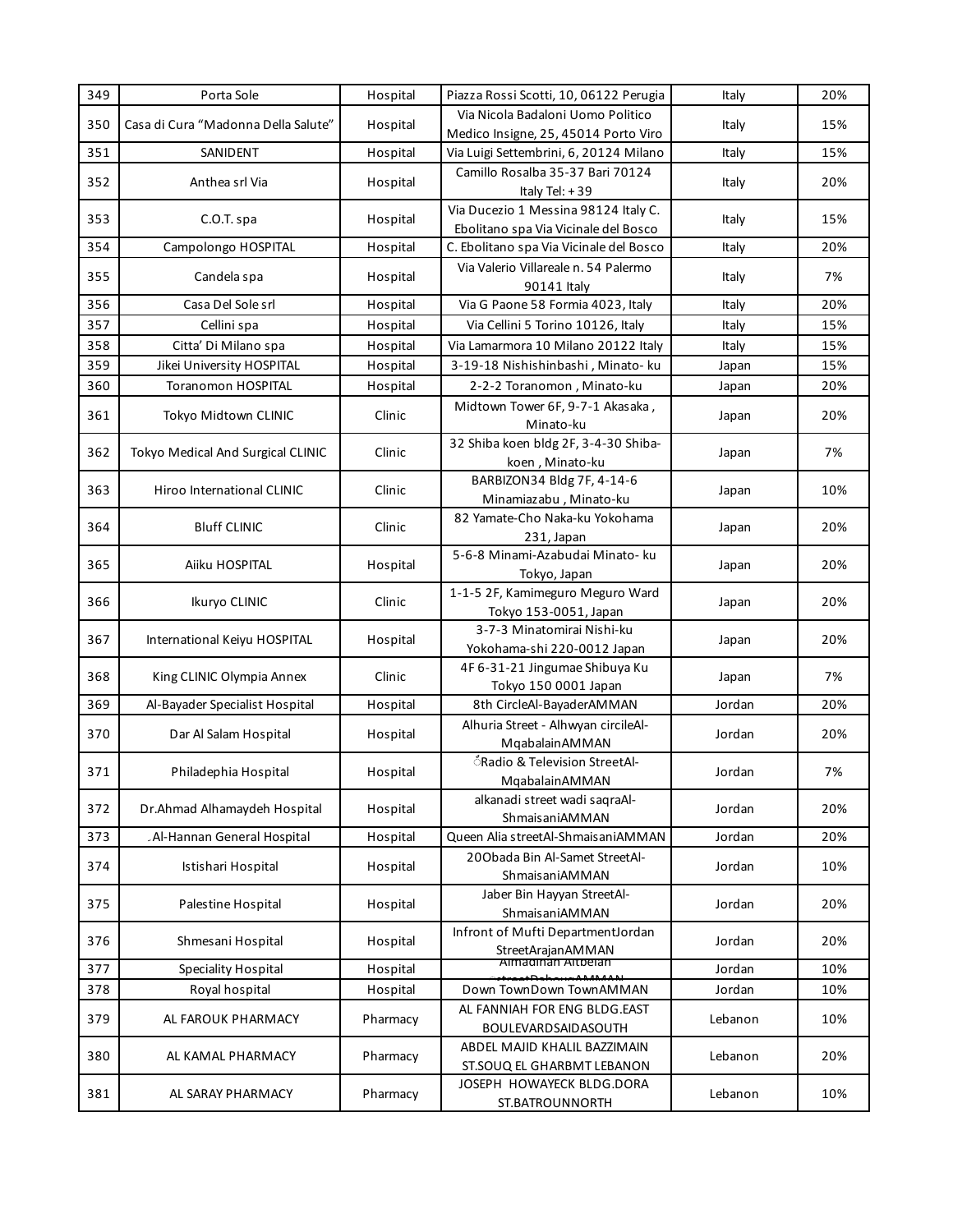| 349 | Porta Sole                          | Hospital | Piazza Rossi Scotti, 10, 06122 Perugia                                       | Italy   | 20% |
|-----|-------------------------------------|----------|------------------------------------------------------------------------------|---------|-----|
| 350 | Casa di Cura "Madonna Della Salute" | Hospital | Via Nicola Badaloni Uomo Politico<br>Medico Insigne, 25, 45014 Porto Viro    | Italy   | 15% |
| 351 | SANIDENT                            | Hospital | Via Luigi Settembrini, 6, 20124 Milano                                       | Italy   | 15% |
| 352 | Anthea srl Via                      | Hospital | Camillo Rosalba 35-37 Bari 70124<br>Italy Tel: $+39$                         | Italy   | 20% |
| 353 | C.O.T. spa                          | Hospital | Via Ducezio 1 Messina 98124 Italy C.<br>Ebolitano spa Via Vicinale del Bosco | Italy   | 15% |
| 354 | Campolongo HOSPITAL                 | Hospital | C. Ebolitano spa Via Vicinale del Bosco                                      | Italy   | 20% |
| 355 | Candela spa                         | Hospital | Via Valerio Villareale n. 54 Palermo<br>90141 Italy                          | Italy   | 7%  |
| 356 | Casa Del Sole srl                   | Hospital | Via G Paone 58 Formia 4023, Italy                                            | Italy   | 20% |
| 357 | Cellini spa                         | Hospital | Via Cellini 5 Torino 10126, Italy                                            | Italy   | 15% |
| 358 | Citta' Di Milano spa                | Hospital | Via Lamarmora 10 Milano 20122 Italy                                          | Italy   | 15% |
| 359 | Jikei University HOSPITAL           | Hospital | 3-19-18 Nishishinbashi, Minato- ku                                           | Japan   | 15% |
| 360 | <b>Toranomon HOSPITAL</b>           | Hospital | 2-2-2 Toranomon, Minato-ku                                                   | Japan   | 20% |
|     |                                     |          | Midtown Tower 6F, 9-7-1 Akasaka,                                             |         |     |
| 361 | Tokyo Midtown CLINIC                | Clinic   | Minato-ku                                                                    | Japan   | 20% |
| 362 | Tokyo Medical And Surgical CLINIC   | Clinic   | 32 Shiba koen bldg 2F, 3-4-30 Shiba-<br>koen, Minato-ku                      | Japan   | 7%  |
| 363 | Hiroo International CLINIC          | Clinic   | BARBIZON34 Bldg 7F, 4-14-6<br>Minamiazabu, Minato-ku                         | Japan   | 10% |
| 364 | <b>Bluff CLINIC</b>                 | Clinic   | 82 Yamate-Cho Naka-ku Yokohama<br>231, Japan                                 | Japan   | 20% |
| 365 | Aiiku HOSPITAL                      | Hospital | 5-6-8 Minami-Azabudai Minato- ku<br>Tokyo, Japan                             | Japan   | 20% |
| 366 | Ikuryo CLINIC                       | Clinic   | 1-1-5 2F, Kamimeguro Meguro Ward<br>Tokyo 153-0051, Japan                    | Japan   | 20% |
| 367 | International Keiyu HOSPITAL        | Hospital | 3-7-3 Minatomirai Nishi-ku<br>Yokohama-shi 220-0012 Japan                    | Japan   | 20% |
| 368 | King CLINIC Olympia Annex           | Clinic   | 4F 6-31-21 Jingumae Shibuya Ku<br>Tokyo 150 0001 Japan                       | Japan   | 7%  |
| 369 | Al-Bayader Specialist Hospital      | Hospital | 8th CircleAl-BayaderAMMAN                                                    | Jordan  | 20% |
| 370 | Dar Al Salam Hospital               | Hospital | Alhuria Street - Alhwyan circileAl-<br>MqabalainAMMAN                        | Jordan  | 20% |
| 371 | Philadephia Hospital                | Hospital | <i><b>IRadio &amp; Television StreetAl-</b></i><br>MqabalainAMMAN            | Jordan  | 7%  |
| 372 | Dr.Ahmad Alhamaydeh Hospital        | Hospital | alkanadi street wadi sagraAl-<br>ShmaisaniAMMAN                              | Jordan  | 20% |
| 373 | .Al-Hannan General Hospital         | Hospital | Queen Alia streetAl-ShmaisaniAMMAN                                           | Jordan  | 20% |
| 374 | Istishari Hospital                  | Hospital | 200bada Bin Al-Samet StreetAl-<br>ShmaisaniAMMAN                             | Jordan  | 10% |
| 375 | Palestine Hospital                  | Hospital | Jaber Bin Hayyan StreetAl-<br>ShmaisaniAMMAN                                 | Jordan  | 20% |
| 376 | Shmesani Hospital                   | Hospital | Infront of Mufti DepartmentJordan<br>StreetArajanAMMAN                       | Jordan  | 20% |
| 377 | <b>Speciality Hospital</b>          | Hospital | Almadinan Altbelan                                                           | Jordan  | 10% |
| 378 | Royal hospital                      | Hospital | Down TownDown TownAMMAN                                                      | Jordan  | 10% |
| 379 | AL FAROUK PHARMACY                  | Pharmacy | AL FANNIAH FOR ENG BLDG.EAST<br>BOULEVARDSAIDASOUTH                          | Lebanon | 10% |
| 380 | AL KAMAL PHARMACY                   | Pharmacy | ABDEL MAJID KHALIL BAZZIMAIN<br>ST.SOUQ EL GHARBMT LEBANON                   | Lebanon | 20% |
| 381 | AL SARAY PHARMACY                   | Pharmacy | JOSEPH HOWAYECK BLDG.DORA<br>ST.BATROUNNORTH                                 | Lebanon | 10% |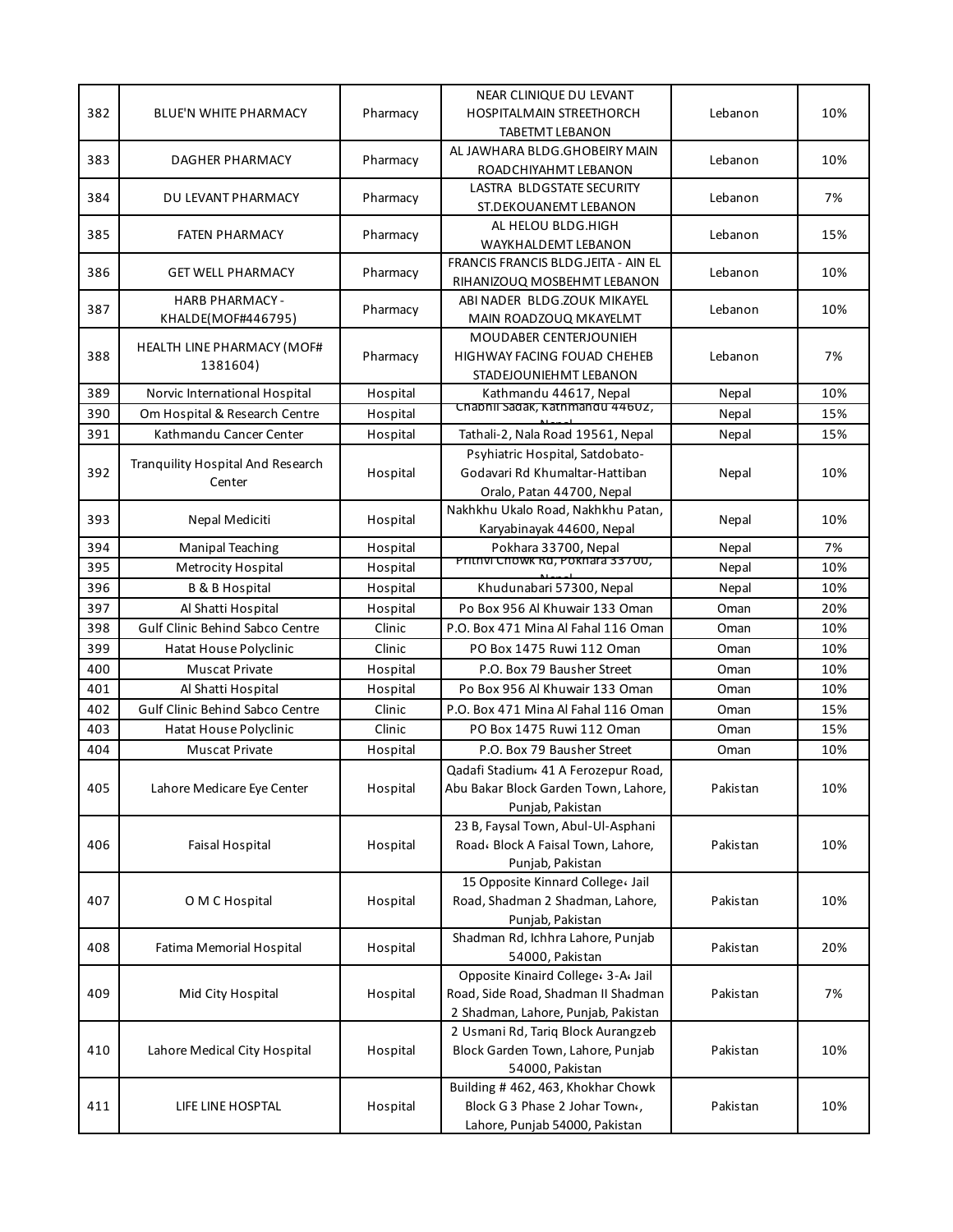| 382 | BLUE'N WHITE PHARMACY                         | Pharmacy | NEAR CLINIQUE DU LEVANT<br><b>HOSPITALMAIN STREETHORCH</b>                                                        | Lebanon  | 10% |
|-----|-----------------------------------------------|----------|-------------------------------------------------------------------------------------------------------------------|----------|-----|
| 383 | DAGHER PHARMACY                               | Pharmacy | <b>TABETMT LEBANON</b><br>AL JAWHARA BLDG.GHOBEIRY MAIN<br>ROADCHIYAHMT LEBANON                                   | Lebanon  | 10% |
| 384 | DU LEVANT PHARMACY                            | Pharmacy | LASTRA BLDGSTATE SECURITY<br>ST.DEKOUANEMT LEBANON                                                                | Lebanon  | 7%  |
| 385 | <b>FATEN PHARMACY</b>                         | Pharmacy | AL HELOU BLDG.HIGH<br>WAYKHALDEMT LEBANON                                                                         | Lebanon  | 15% |
| 386 | <b>GET WELL PHARMACY</b>                      | Pharmacy | FRANCIS FRANCIS BLDG.JEITA - AIN EL<br>RIHANIZOUQ MOSBEHMT LEBANON                                                | Lebanon  | 10% |
| 387 | <b>HARB PHARMACY -</b><br>KHALDE(MOF#446795)  | Pharmacy | ABI NADER BLDG.ZOUK MIKAYEL<br>MAIN ROADZOUQ MKAYELMT                                                             | Lebanon  | 10% |
| 388 | <b>HEALTH LINE PHARMACY (MOF#</b><br>1381604) | Pharmacy | MOUDABER CENTERJOUNIEH<br>HIGHWAY FACING FOUAD CHEHEB<br>STADEJOUNIEHMT LEBANON                                   | Lebanon  | 7%  |
| 389 | Norvic International Hospital                 | Hospital | Kathmandu 44617, Nepal                                                                                            | Nepal    | 10% |
| 390 | Om Hospital & Research Centre                 | Hospital | Chabhii Sadak, Kathmandu 44602,                                                                                   | Nepal    | 15% |
| 391 | Kathmandu Cancer Center                       | Hospital | Tathali-2, Nala Road 19561, Nepal                                                                                 | Nepal    | 15% |
| 392 | Tranquility Hospital And Research<br>Center   | Hospital | Psyhiatric Hospital, Satdobato-<br>Godavari Rd Khumaltar-Hattiban<br>Oralo, Patan 44700, Nepal                    | Nepal    | 10% |
| 393 | Nepal Mediciti                                | Hospital | Nakhkhu Ukalo Road, Nakhkhu Patan,<br>Karyabinayak 44600, Nepal                                                   | Nepal    | 10% |
| 394 | <b>Manipal Teaching</b>                       | Hospital | Pokhara 33700, Nepal                                                                                              | Nepal    | 7%  |
| 395 | <b>Metrocity Hospital</b>                     | Hospital | Prithvi Chowk Rd, Pokhara 33700,                                                                                  | Nepal    | 10% |
| 396 | <b>B &amp; B Hospital</b>                     | Hospital | Khudunabari 57300, Nepal                                                                                          | Nepal    | 10% |
| 397 | Al Shatti Hospital                            | Hospital | Po Box 956 Al Khuwair 133 Oman                                                                                    | Oman     | 20% |
| 398 | <b>Gulf Clinic Behind Sabco Centre</b>        | Clinic   | P.O. Box 471 Mina Al Fahal 116 Oman                                                                               | Oman     | 10% |
| 399 | Hatat House Polyclinic                        | Clinic   | PO Box 1475 Ruwi 112 Oman                                                                                         | Oman     | 10% |
| 400 | <b>Muscat Private</b>                         | Hospital | P.O. Box 79 Bausher Street                                                                                        | Oman     | 10% |
| 401 | Al Shatti Hospital                            | Hospital | Po Box 956 Al Khuwair 133 Oman                                                                                    | Oman     | 10% |
| 402 | <b>Gulf Clinic Behind Sabco Centre</b>        | Clinic   | P.O. Box 471 Mina Al Fahal 116 Oman                                                                               | Oman     | 15% |
| 403 | <b>Hatat House Polyclinic</b>                 | Clinic   | PO Box 1475 Ruwi 112 Oman                                                                                         | Oman     | 15% |
| 404 | <b>Muscat Private</b>                         | Hospital | P.O. Box 79 Bausher Street                                                                                        | Oman     | 10% |
| 405 | Lahore Medicare Eye Center                    | Hospital | Qadafi Stadium« 41 A Ferozepur Road,<br>Abu Bakar Block Garden Town, Lahore,<br>Punjab, Pakistan                  | Pakistan | 10% |
| 406 | <b>Faisal Hospital</b>                        | Hospital | 23 B, Faysal Town, Abul-Ul-Asphani<br>Road، Block A Faisal Town, Lahore,<br>Punjab, Pakistan                      | Pakistan | 10% |
| 407 | O M C Hospital                                | Hospital | 15 Opposite Kinnard College ، Jail<br>Road, Shadman 2 Shadman, Lahore,<br>Punjab, Pakistan                        | Pakistan | 10% |
| 408 | Fatima Memorial Hospital                      | Hospital | Shadman Rd, Ichhra Lahore, Punjab<br>54000, Pakistan                                                              | Pakistan | 20% |
| 409 | Mid City Hospital                             | Hospital | Opposite Kinaird College، 3-A، Jail<br>Road, Side Road, Shadman II Shadman<br>2 Shadman, Lahore, Punjab, Pakistan | Pakistan | 7%  |
| 410 | Lahore Medical City Hospital                  | Hospital | 2 Usmani Rd, Tariq Block Aurangzeb<br>Block Garden Town, Lahore, Punjab<br>54000, Pakistan                        | Pakistan | 10% |
| 411 | LIFE LINE HOSPTAL                             | Hospital | Building # 462, 463, Khokhar Chowk<br>Block G 3 Phase 2 Johar Town«,<br>Lahore, Punjab 54000, Pakistan            | Pakistan | 10% |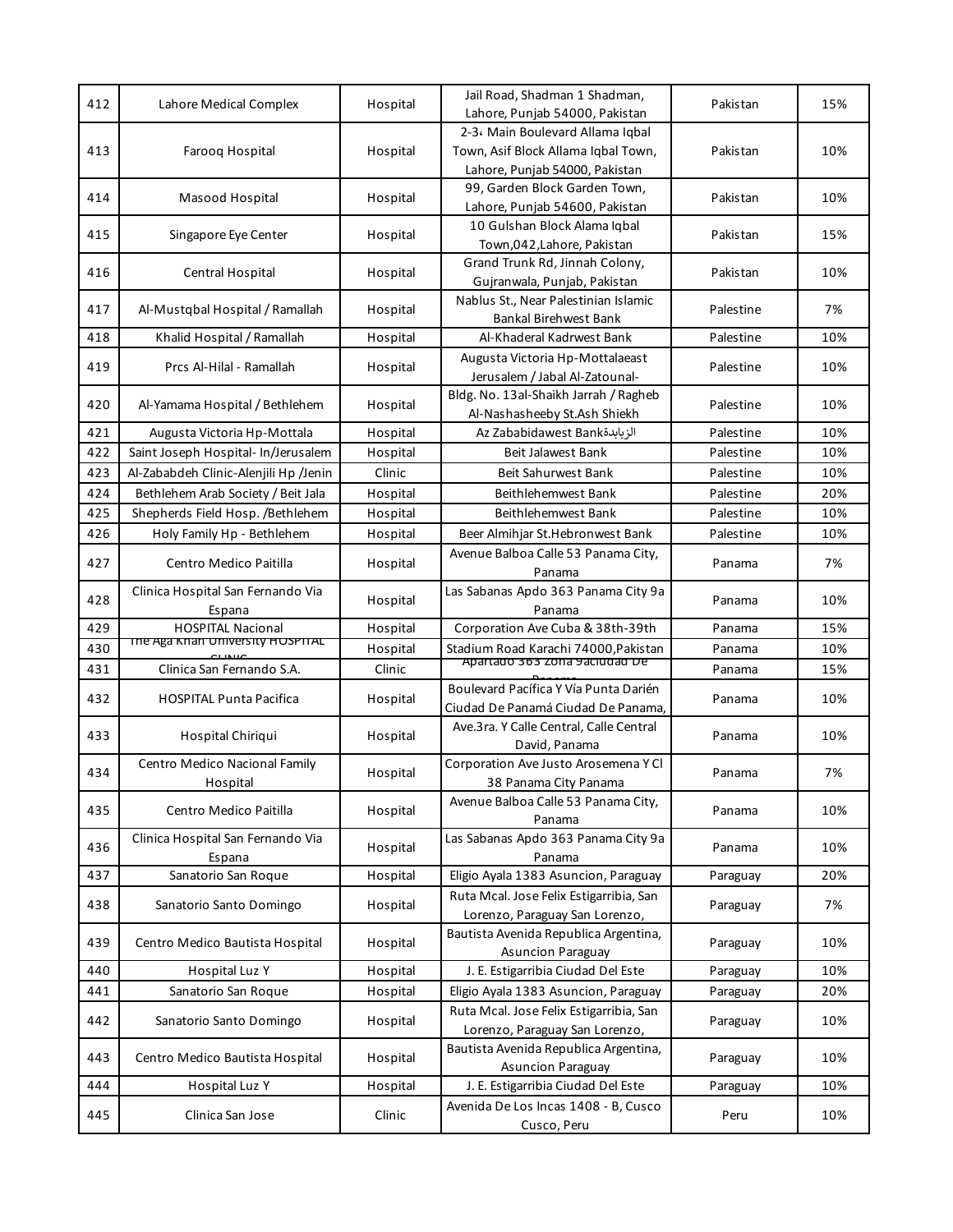| 412 | Lahore Medical Complex                      | Hospital | Jail Road, Shadman 1 Shadman,<br>Lahore, Punjab 54000, Pakistan                                           | Pakistan  | 15% |
|-----|---------------------------------------------|----------|-----------------------------------------------------------------------------------------------------------|-----------|-----|
| 413 | Farooq Hospital                             | Hospital | 2-3، Main Boulevard Allama Iqbal<br>Town, Asif Block Allama Iqbal Town,<br>Lahore, Punjab 54000, Pakistan | Pakistan  | 10% |
| 414 | Masood Hospital                             | Hospital | 99, Garden Block Garden Town,<br>Lahore, Punjab 54600, Pakistan                                           | Pakistan  | 10% |
| 415 | Singapore Eye Center                        | Hospital | 10 Gulshan Block Alama Iqbal<br>Town,042, Lahore, Pakistan                                                | Pakistan  | 15% |
| 416 | Central Hospital                            | Hospital | Grand Trunk Rd, Jinnah Colony,<br>Gujranwala, Punjab, Pakistan                                            | Pakistan  | 10% |
| 417 | Al-Mustqbal Hospital / Ramallah             | Hospital | Nablus St., Near Palestinian Islamic<br>Bankal Birehwest Bank                                             | Palestine | 7%  |
| 418 | Khalid Hospital / Ramallah                  | Hospital | Al-Khaderal Kadrwest Bank                                                                                 | Palestine | 10% |
| 419 | Prcs Al-Hilal - Ramallah                    | Hospital | Augusta Victoria Hp-Mottalaeast<br>Jerusalem / Jabal Al-Zatounal-                                         | Palestine | 10% |
| 420 | Al-Yamama Hospital / Bethlehem              | Hospital | Bldg. No. 13al-Shaikh Jarrah / Ragheb<br>Al-Nashasheeby St.Ash Shiekh                                     | Palestine | 10% |
| 421 | Augusta Victoria Hp-Mottala                 | Hospital | Az Zababidawest Bank                                                                                      | Palestine | 10% |
| 422 | Saint Joseph Hospital- In/Jerusalem         | Hospital | Beit Jalawest Bank                                                                                        | Palestine | 10% |
| 423 | Al-Zababdeh Clinic-Alenjili Hp /Jenin       | Clinic   | Beit Sahurwest Bank                                                                                       | Palestine | 10% |
| 424 | Bethlehem Arab Society / Beit Jala          | Hospital | Beithlehemwest Bank                                                                                       | Palestine | 20% |
| 425 | Shepherds Field Hosp. / Bethlehem           | Hospital | Beithlehemwest Bank                                                                                       | Palestine | 10% |
| 426 | Holy Family Hp - Bethlehem                  | Hospital | Beer Almihjar St.Hebronwest Bank                                                                          | Palestine | 10% |
| 427 | Centro Medico Paitilla                      | Hospital | Avenue Balboa Calle 53 Panama City,<br>Panama                                                             | Panama    | 7%  |
| 428 | Clinica Hospital San Fernando Via<br>Espana | Hospital | Las Sabanas Apdo 363 Panama City 9a<br>Panama                                                             | Panama    | 10% |
| 429 | <b>HOSPITAL Nacional</b>                    | Hospital | Corporation Ave Cuba & 38th-39th                                                                          | Panama    | 15% |
| 430 | The Aga Khan University HOSPITAL            | Hospital | Stadium Road Karachi 74000, Pakistan                                                                      | Panama    | 10% |
| 431 | Clinica San Fernando S.A.                   | Clinic   | Apartado 363 Zona 9aciudad De                                                                             | Panama    | 15% |
| 432 | <b>HOSPITAL Punta Pacifica</b>              | Hospital | Boulevard Pacífica Y Vía Punta Darién<br>Ciudad De Panamá Ciudad De Panama,                               | Panama    | 10% |
| 433 | Hospital Chiriqui                           | Hospital | Ave.3ra. Y Calle Central, Calle Central<br>David, Panama                                                  | Panama    | 10% |
| 434 | Centro Medico Nacional Family<br>Hospital   | Hospital | Corporation Ave Justo Arosemena Y Cl<br>38 Panama City Panama                                             | Panama    | 7%  |
| 435 | Centro Medico Paitilla                      | Hospital | Avenue Balboa Calle 53 Panama City,<br>Panama                                                             | Panama    | 10% |
| 436 | Clinica Hospital San Fernando Via<br>Espana | Hospital | Las Sabanas Apdo 363 Panama City 9a<br>Panama                                                             | Panama    | 10% |
| 437 | Sanatorio San Roque                         | Hospital | Eligio Ayala 1383 Asuncion, Paraguay                                                                      | Paraguay  | 20% |
| 438 | Sanatorio Santo Domingo                     | Hospital | Ruta Mcal. Jose Felix Estigarribia, San<br>Lorenzo, Paraguay San Lorenzo,                                 | Paraguay  | 7%  |
| 439 | Centro Medico Bautista Hospital             | Hospital | Bautista Avenida Republica Argentina,<br><b>Asuncion Paraguay</b>                                         | Paraguay  | 10% |
| 440 | Hospital Luz Y                              | Hospital | J. E. Estigarribia Ciudad Del Este                                                                        | Paraguay  | 10% |
| 441 | Sanatorio San Roque                         | Hospital | Eligio Ayala 1383 Asuncion, Paraguay                                                                      | Paraguay  | 20% |
| 442 | Sanatorio Santo Domingo                     | Hospital | Ruta Mcal. Jose Felix Estigarribia, San<br>Lorenzo, Paraguay San Lorenzo,                                 | Paraguay  | 10% |
| 443 | Centro Medico Bautista Hospital             | Hospital | Bautista Avenida Republica Argentina,<br>Asuncion Paraguay                                                | Paraguay  | 10% |
| 444 | Hospital Luz Y                              | Hospital | J. E. Estigarribia Ciudad Del Este                                                                        | Paraguay  | 10% |
| 445 | Clinica San Jose                            | Clinic   | Avenida De Los Incas 1408 - B, Cusco<br>Cusco, Peru                                                       | Peru      | 10% |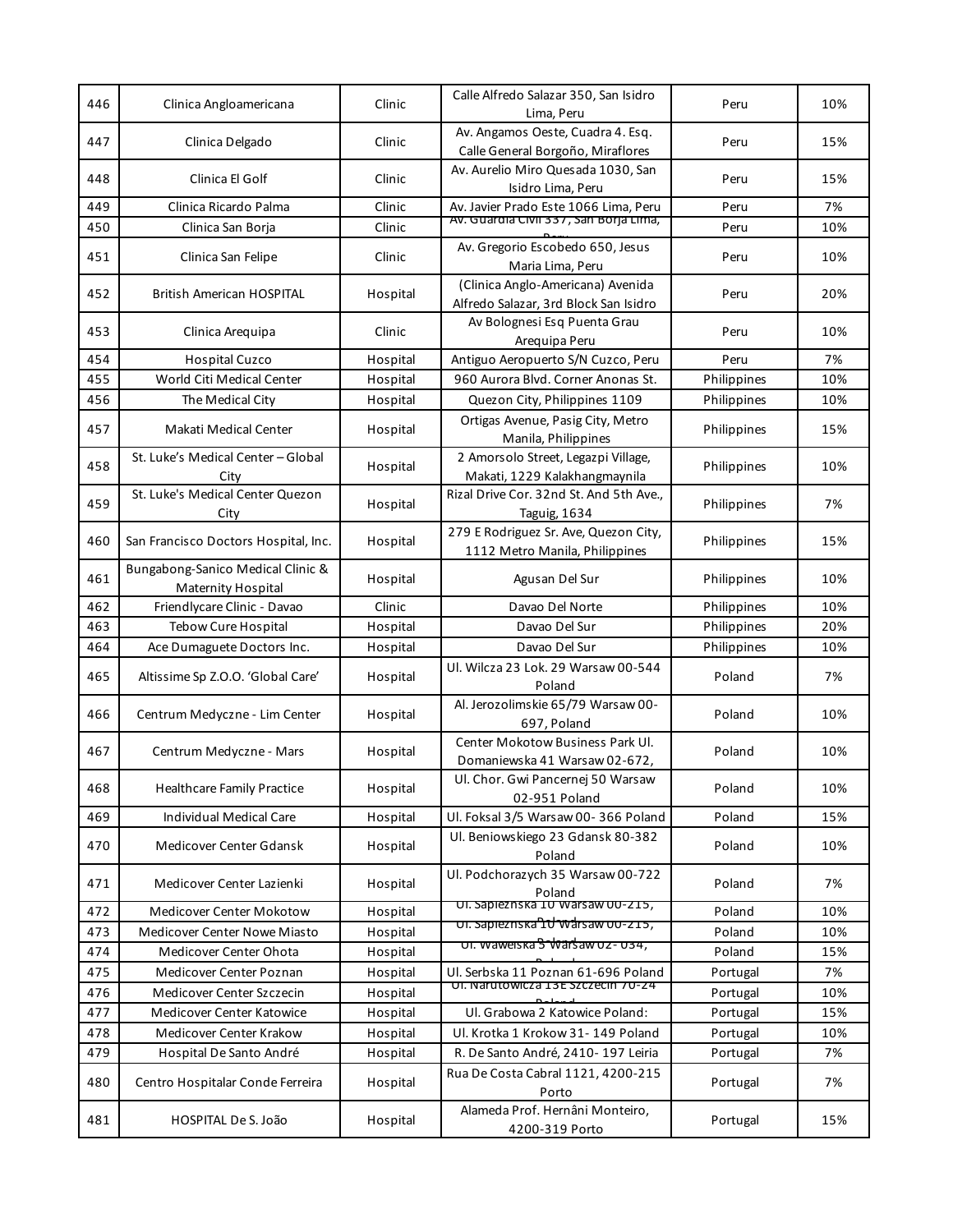| 446 | Clinica Angloamericana                                  | Clinic   | Calle Alfredo Salazar 350, San Isidro<br>Lima, Peru                        | Peru        | 10% |
|-----|---------------------------------------------------------|----------|----------------------------------------------------------------------------|-------------|-----|
| 447 | Clinica Delgado                                         | Clinic   | Av. Angamos Oeste, Cuadra 4. Esq.<br>Calle General Borgoño, Miraflores     | Peru        | 15% |
| 448 | Clinica El Golf                                         | Clinic   | Av. Aurelio Miro Quesada 1030, San<br>Isidro Lima, Peru                    | Peru        | 15% |
| 449 | Clinica Ricardo Palma                                   | Clinic   | Av. Javier Prado Este 1066 Lima, Peru                                      | Peru        | 7%  |
| 450 | Clinica San Borja                                       | Clinic   | AV. Guardia Civii 337, San Borja Lima,                                     | Peru        | 10% |
| 451 | Clinica San Felipe                                      | Clinic   | Av. Gregorio Escobedo 650, Jesus<br>Maria Lima, Peru                       | Peru        | 10% |
| 452 | <b>British American HOSPITAL</b>                        | Hospital | (Clinica Anglo-Americana) Avenida<br>Alfredo Salazar, 3rd Block San Isidro | Peru        | 20% |
| 453 | Clinica Areguipa                                        | Clinic   | Av Bolognesi Esq Puenta Grau<br>Areguipa Peru                              | Peru        | 10% |
| 454 | <b>Hospital Cuzco</b>                                   | Hospital | Antiguo Aeropuerto S/N Cuzco, Peru                                         | Peru        | 7%  |
| 455 | World Citi Medical Center                               | Hospital | 960 Aurora Blvd. Corner Anonas St.                                         | Philippines | 10% |
| 456 | The Medical City                                        | Hospital | Quezon City, Philippines 1109                                              | Philippines | 10% |
| 457 | Makati Medical Center                                   | Hospital | Ortigas Avenue, Pasig City, Metro<br>Manila, Philippines                   | Philippines | 15% |
| 458 | St. Luke's Medical Center - Global<br>City              | Hospital | 2 Amorsolo Street, Legazpi Village,<br>Makati, 1229 Kalakhangmaynila       | Philippines | 10% |
| 459 | St. Luke's Medical Center Quezon<br>City                | Hospital | Rizal Drive Cor. 32nd St. And 5th Ave.,<br>Taguig, 1634                    | Philippines | 7%  |
| 460 | San Francisco Doctors Hospital, Inc.                    | Hospital | 279 E Rodriguez Sr. Ave, Quezon City,<br>1112 Metro Manila, Philippines    | Philippines | 15% |
| 461 | Bungabong-Sanico Medical Clinic &<br>Maternity Hospital | Hospital | Agusan Del Sur                                                             | Philippines | 10% |
| 462 | Friendlycare Clinic - Davao                             | Clinic   | Davao Del Norte                                                            | Philippines | 10% |
| 463 | <b>Tebow Cure Hospital</b>                              | Hospital | Davao Del Sur                                                              | Philippines | 20% |
| 464 | Ace Dumaguete Doctors Inc.                              | Hospital | Davao Del Sur                                                              | Philippines | 10% |
| 465 | Altissime Sp Z.O.O. 'Global Care'                       | Hospital | Ul. Wilcza 23 Lok. 29 Warsaw 00-544<br>Poland                              | Poland      | 7%  |
| 466 | Centrum Medyczne - Lim Center                           | Hospital | Al. Jerozolimskie 65/79 Warsaw 00-<br>697, Poland                          | Poland      | 10% |
| 467 | Centrum Medyczne - Mars                                 | Hospital | Center Mokotow Business Park Ul.<br>Domaniewska 41 Warsaw 02-672,          | Poland      | 10% |
| 468 | <b>Healthcare Family Practice</b>                       | Hospital | Ul. Chor. Gwi Pancernej 50 Warsaw<br>02-951 Poland                         | Poland      | 10% |
| 469 | <b>Individual Medical Care</b>                          | Hospital | Ul. Foksal 3/5 Warsaw 00-366 Poland                                        | Poland      | 15% |
| 470 | Medicover Center Gdansk                                 | Hospital | Ul. Beniowskiego 23 Gdansk 80-382<br>Poland                                | Poland      | 10% |
| 471 | Medicover Center Lazienki                               | Hospital | Ul. Podchorazych 35 Warsaw 00-722<br>Poland                                | Poland      | 7%  |
| 472 | Medicover Center Mokotow                                | Hospital | UI. Sapieznska IU Warsaw UU-215,                                           | Poland      | 10% |
| 473 | Medicover Center Nowe Miasto                            | Hospital | <del>บเ. sapieznska IU Warsaw บบ-z 15,</del>                               | Poland      | 10% |
| 474 | Medicover Center Ohota                                  | Hospital | <del>ui. waweiska S Warsawuz-us4,</del>                                    | Poland      | 15% |
| 475 | Medicover Center Poznan                                 | Hospital | Ul. Serbska 11 Poznan 61-696 Poland                                        | Portugal    | 7%  |
| 476 | Medicover Center Szczecin                               | Hospital | UI. Narutowicza 13E Szczecin 70-24                                         | Portugal    | 10% |
| 477 | Medicover Center Katowice                               | Hospital | Ul. Grabowa 2 Katowice Poland:                                             | Portugal    | 15% |
| 478 | Medicover Center Krakow                                 | Hospital | Ul. Krotka 1 Krokow 31-149 Poland                                          | Portugal    | 10% |
| 479 | Hospital De Santo André                                 | Hospital | R. De Santo André, 2410-197 Leiria                                         | Portugal    | 7%  |
| 480 | Centro Hospitalar Conde Ferreira                        | Hospital | Rua De Costa Cabral 1121, 4200-215<br>Porto                                | Portugal    | 7%  |
| 481 | HOSPITAL De S. João                                     | Hospital | Alameda Prof. Hernâni Monteiro,<br>4200-319 Porto                          | Portugal    | 15% |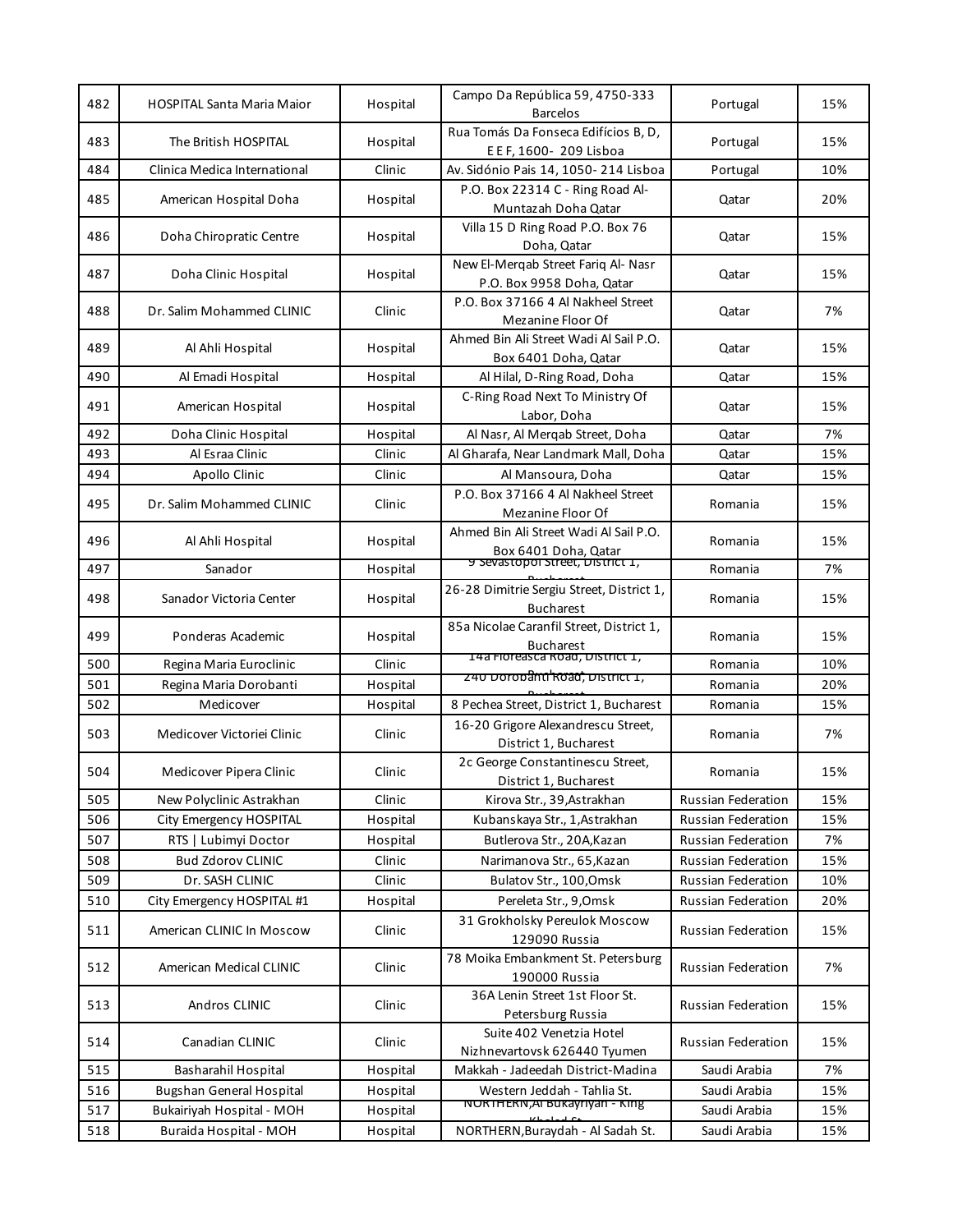| 482 | <b>HOSPITAL Santa Maria Maior</b> | Hospital | Campo Da República 59, 4750-333<br><b>Barcelos</b>               | Portugal           | 15% |
|-----|-----------------------------------|----------|------------------------------------------------------------------|--------------------|-----|
| 483 | The British HOSPITAL              | Hospital | Rua Tomás Da Fonseca Edifícios B, D,<br>E E F, 1600- 209 Lisboa  | Portugal           | 15% |
| 484 | Clinica Medica International      | Clinic   | Av. Sidónio Pais 14, 1050-214 Lisboa                             | Portugal           | 10% |
| 485 | American Hospital Doha            | Hospital | P.O. Box 22314 C - Ring Road Al-<br>Muntazah Doha Qatar          | Qatar              | 20% |
| 486 | Doha Chiropratic Centre           | Hospital | Villa 15 D Ring Road P.O. Box 76<br>Doha, Qatar                  | Qatar              | 15% |
| 487 | Doha Clinic Hospital              | Hospital | New El-Mergab Street Farig Al- Nasr<br>P.O. Box 9958 Doha, Qatar | Qatar              | 15% |
| 488 | Dr. Salim Mohammed CLINIC         | Clinic   | P.O. Box 37166 4 Al Nakheel Street<br>Mezanine Floor Of          | Qatar              | 7%  |
| 489 | Al Ahli Hospital                  | Hospital | Ahmed Bin Ali Street Wadi Al Sail P.O.<br>Box 6401 Doha, Qatar   | Qatar              | 15% |
| 490 | Al Emadi Hospital                 | Hospital | Al Hilal, D-Ring Road, Doha                                      | Qatar              | 15% |
| 491 | American Hospital                 | Hospital | C-Ring Road Next To Ministry Of<br>Labor, Doha                   | Qatar              | 15% |
| 492 | Doha Clinic Hospital              | Hospital | Al Nasr, Al Merqab Street, Doha                                  | Qatar              | 7%  |
| 493 | Al Esraa Clinic                   | Clinic   | Al Gharafa, Near Landmark Mall, Doha                             | Qatar              | 15% |
| 494 | Apollo Clinic                     | Clinic   | Al Mansoura, Doha                                                | Qatar              | 15% |
| 495 | Dr. Salim Mohammed CLINIC         | Clinic   | P.O. Box 37166 4 Al Nakheel Street<br>Mezanine Floor Of          | Romania            | 15% |
| 496 | Al Ahli Hospital                  | Hospital | Ahmed Bin Ali Street Wadi Al Sail P.O.<br>Box 6401 Doha, Qatar   | Romania            | 15% |
| 497 | Sanador                           | Hospital | 9 Sevastopol Street, District 1,                                 | Romania            | 7%  |
| 498 | Sanador Victoria Center           | Hospital | 26-28 Dimitrie Sergiu Street, District 1,<br><b>Bucharest</b>    | Romania            | 15% |
| 499 | Ponderas Academic                 | Hospital | 85a Nicolae Caranfil Street, District 1,<br><b>Bucharest</b>     | Romania            | 15% |
| 500 | Regina Maria Euroclinic           | Clinic   | 14a Floreasca Road, District 1,                                  | Romania            | 10% |
| 501 | Regina Maria Dorobanti            | Hospital | <u>240 Dorobanti koad, District 1, </u>                          | Romania            | 20% |
| 502 | Medicover                         | Hospital | 8 Pechea Street, District 1, Bucharest                           | Romania            | 15% |
| 503 | Medicover Victoriei Clinic        | Clinic   | 16-20 Grigore Alexandrescu Street,<br>District 1, Bucharest      | Romania            | 7%  |
| 504 | Medicover Pipera Clinic           | Clinic   | 2c George Constantinescu Street,<br>District 1, Bucharest        | Romania            | 15% |
| 505 | New Polyclinic Astrakhan          | Clinic   | Kirova Str., 39, Astrakhan                                       | Russian Federation | 15% |
| 506 | City Emergency HOSPITAL           | Hospital | Kubanskaya Str., 1, Astrakhan                                    | Russian Federation | 15% |
| 507 | RTS   Lubimyi Doctor              | Hospital | Butlerova Str., 20A, Kazan                                       | Russian Federation | 7%  |
| 508 | <b>Bud Zdorov CLINIC</b>          | Clinic   | Narimanova Str., 65, Kazan                                       | Russian Federation | 15% |
| 509 | Dr. SASH CLINIC                   | Clinic   | Bulatov Str., 100, Omsk                                          | Russian Federation | 10% |
| 510 | City Emergency HOSPITAL #1        | Hospital | Pereleta Str., 9, Omsk                                           | Russian Federation | 20% |
| 511 | American CLINIC In Moscow         | Clinic   | 31 Grokholsky Pereulok Moscow<br>129090 Russia                   | Russian Federation | 15% |
| 512 | American Medical CLINIC           | Clinic   | 78 Moika Embankment St. Petersburg<br>190000 Russia              | Russian Federation | 7%  |
| 513 | Andros CLINIC                     | Clinic   | 36A Lenin Street 1st Floor St.<br>Petersburg Russia              | Russian Federation | 15% |
| 514 | Canadian CLINIC                   | Clinic   | Suite 402 Venetzia Hotel<br>Nizhnevartovsk 626440 Tyumen         | Russian Federation | 15% |
| 515 | Basharahil Hospital               | Hospital | Makkah - Jadeedah District-Madina                                | Saudi Arabia       | 7%  |
| 516 | <b>Bugshan General Hospital</b>   | Hospital | Western Jeddah - Tahlia St.                                      | Saudi Arabia       | 15% |
| 517 | Bukairiyah Hospital - MOH         | Hospital | NORTHERN, AI BUKAYNYAN - KING                                    | Saudi Arabia       | 15% |
| 518 | Buraida Hospital - MOH            | Hospital | NORTHERN, Buraydah - Al Sadah St.                                | Saudi Arabia       | 15% |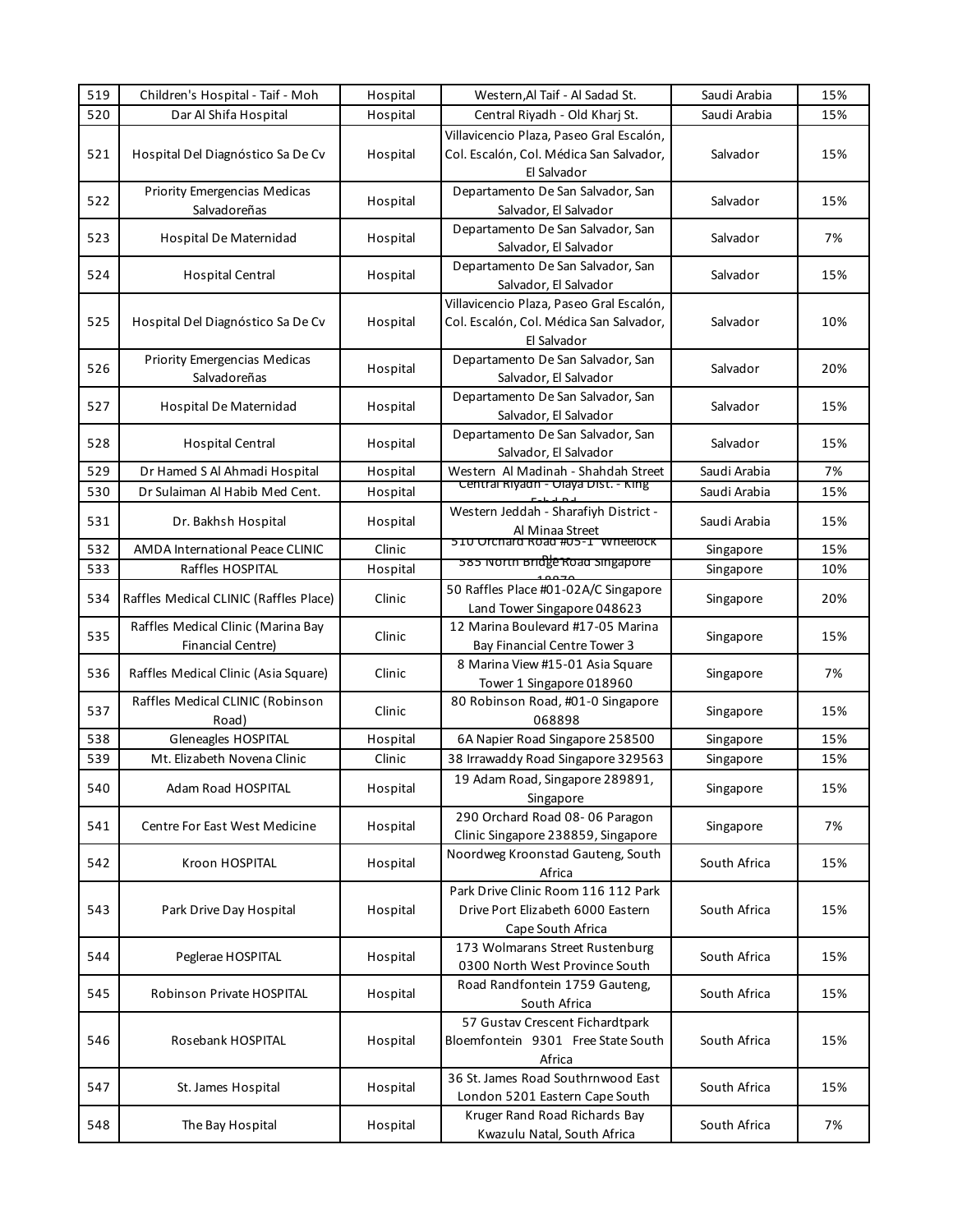| 519 | Children's Hospital - Taif - Moh                               | Hospital | Western, Al Taif - Al Sadad St.                                                                    | Saudi Arabia | 15% |
|-----|----------------------------------------------------------------|----------|----------------------------------------------------------------------------------------------------|--------------|-----|
| 520 | Dar Al Shifa Hospital                                          | Hospital | Central Riyadh - Old Kharj St.                                                                     | Saudi Arabia | 15% |
| 521 | Hospital Del Diagnóstico Sa De Cv                              | Hospital | Villavicencio Plaza, Paseo Gral Escalón,<br>Col. Escalón, Col. Médica San Salvador,<br>El Salvador | Salvador     | 15% |
| 522 | <b>Priority Emergencias Medicas</b><br>Salvadoreñas            | Hospital | Departamento De San Salvador, San<br>Salvador, El Salvador                                         | Salvador     | 15% |
| 523 | Hospital De Maternidad                                         | Hospital | Departamento De San Salvador, San<br>Salvador, El Salvador                                         | Salvador     | 7%  |
| 524 | <b>Hospital Central</b>                                        | Hospital | Departamento De San Salvador, San<br>Salvador, El Salvador                                         | Salvador     | 15% |
| 525 | Hospital Del Diagnóstico Sa De Cv                              | Hospital | Villavicencio Plaza, Paseo Gral Escalón,<br>Col. Escalón, Col. Médica San Salvador,<br>El Salvador | Salvador     | 10% |
| 526 | Priority Emergencias Medicas<br>Salvadoreñas                   | Hospital | Departamento De San Salvador, San<br>Salvador, El Salvador                                         | Salvador     | 20% |
| 527 | Hospital De Maternidad                                         | Hospital | Departamento De San Salvador, San<br>Salvador, El Salvador                                         | Salvador     | 15% |
| 528 | <b>Hospital Central</b>                                        | Hospital | Departamento De San Salvador, San<br>Salvador, El Salvador                                         | Salvador     | 15% |
| 529 | Dr Hamed S Al Ahmadi Hospital                                  | Hospital | Western Al Madinah - Shahdah Street                                                                | Saudi Arabia | 7%  |
| 530 | Dr Sulaiman Al Habib Med Cent.                                 | Hospital | Central Riyadh - Olaya Dist. - King                                                                | Saudi Arabia | 15% |
| 531 | Dr. Bakhsh Hospital                                            | Hospital | Western Jeddah - Sharafiyh District -<br>Al Minaa Street                                           | Saudi Arabia | 15% |
| 532 | <b>AMDA International Peace CLINIC</b>                         | Clinic   | 510 Orchard Road #05-1 Wheelock                                                                    | Singapore    | 15% |
| 533 | Raffles HOSPITAL                                               | Hospital | 585 North Bridge Road Singapore                                                                    | Singapore    | 10% |
| 534 | Raffles Medical CLINIC (Raffles Place)                         | Clinic   | 50 Raffles Place #01-02A/C Singapore<br>Land Tower Singapore 048623                                | Singapore    | 20% |
| 535 | Raffles Medical Clinic (Marina Bay<br><b>Financial Centre)</b> | Clinic   | 12 Marina Boulevard #17-05 Marina<br>Bay Financial Centre Tower 3                                  | Singapore    | 15% |
| 536 | Raffles Medical Clinic (Asia Square)                           | Clinic   | 8 Marina View #15-01 Asia Square<br>Tower 1 Singapore 018960                                       | Singapore    | 7%  |
| 537 | Raffles Medical CLINIC (Robinson<br>Road)                      | Clinic   | 80 Robinson Road, #01-0 Singapore<br>068898                                                        | Singapore    | 15% |
| 538 | Gleneagles HOSPITAL                                            | Hospital | 6A Napier Road Singapore 258500                                                                    | Singapore    | 15% |
| 539 | Mt. Elizabeth Novena Clinic                                    | Clinic   | 38 Irrawaddy Road Singapore 329563                                                                 | Singapore    | 15% |
| 540 | Adam Road HOSPITAL                                             | Hospital | 19 Adam Road, Singapore 289891,<br>Singapore                                                       | Singapore    | 15% |
| 541 | Centre For East West Medicine                                  | Hospital | 290 Orchard Road 08-06 Paragon<br>Clinic Singapore 238859, Singapore                               | Singapore    | 7%  |
| 542 | Kroon HOSPITAL                                                 | Hospital | Noordweg Kroonstad Gauteng, South<br>Africa                                                        | South Africa | 15% |
| 543 | Park Drive Day Hospital                                        | Hospital | Park Drive Clinic Room 116 112 Park<br>Drive Port Elizabeth 6000 Eastern<br>Cape South Africa      | South Africa | 15% |
| 544 | Peglerae HOSPITAL                                              | Hospital | 173 Wolmarans Street Rustenburg<br>0300 North West Province South                                  | South Africa | 15% |
| 545 | Robinson Private HOSPITAL                                      | Hospital | Road Randfontein 1759 Gauteng,<br>South Africa                                                     | South Africa | 15% |
| 546 | Rosebank HOSPITAL                                              | Hospital | 57 Gustav Crescent Fichardtpark<br>Bloemfontein 9301 Free State South<br>Africa                    | South Africa | 15% |
| 547 | St. James Hospital                                             | Hospital | 36 St. James Road Southrnwood East<br>London 5201 Eastern Cape South                               | South Africa | 15% |
| 548 | The Bay Hospital                                               | Hospital | Kruger Rand Road Richards Bay<br>Kwazulu Natal, South Africa                                       | South Africa | 7%  |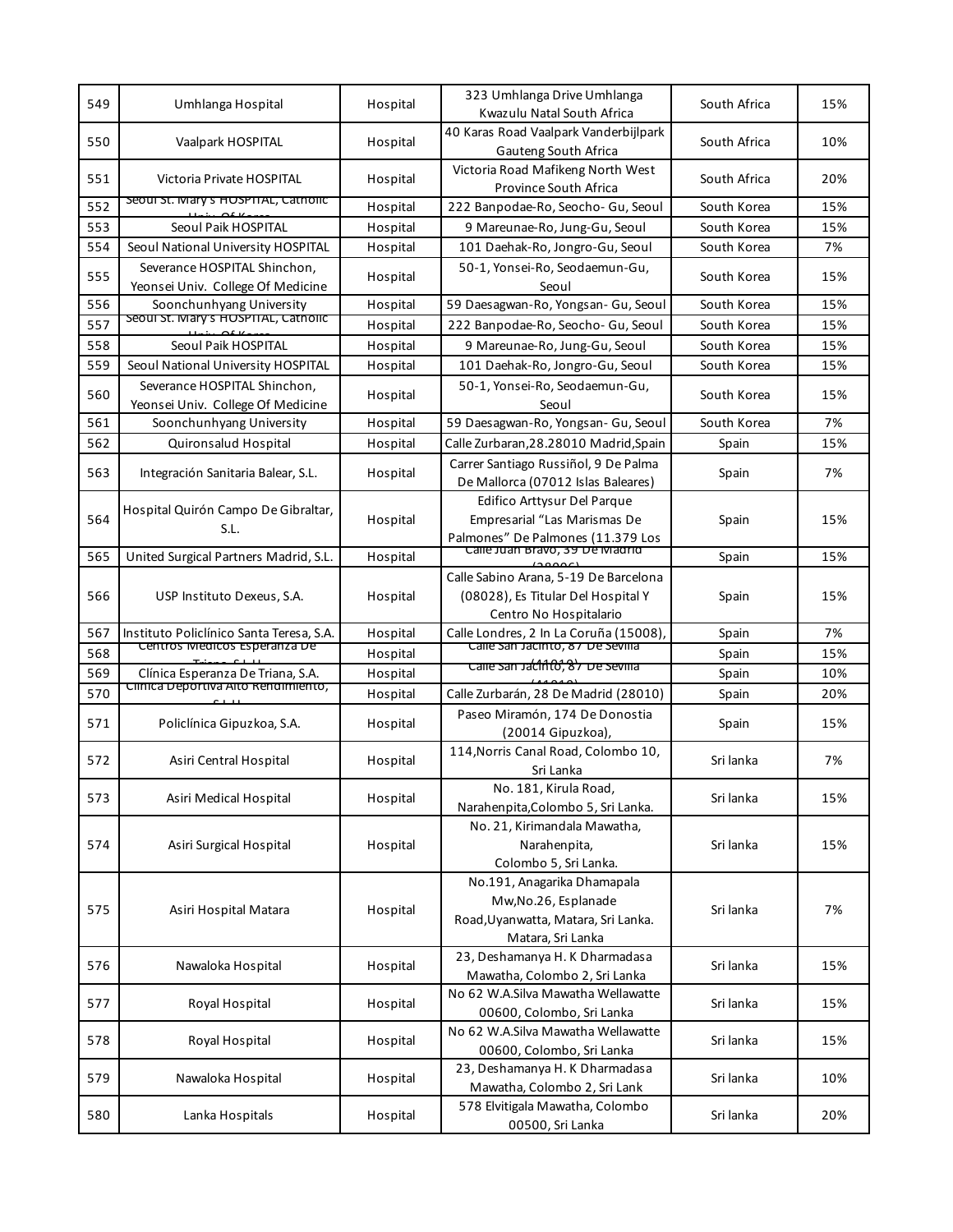| 549 | Umhlanga Hospital                                                 | Hospital | 323 Umhlanga Drive Umhlanga<br>Kwazulu Natal South Africa                                                                          | South Africa | 15% |
|-----|-------------------------------------------------------------------|----------|------------------------------------------------------------------------------------------------------------------------------------|--------------|-----|
| 550 | Vaalpark HOSPITAL                                                 | Hospital | 40 Karas Road Vaalpark Vanderbijlpark<br>Gauteng South Africa                                                                      | South Africa | 10% |
| 551 | Victoria Private HOSPITAL                                         | Hospital | Victoria Road Mafikeng North West<br>Province South Africa                                                                         | South Africa | 20% |
| 552 | Seoul St. Mary's HOSPTIAL, Catholic                               | Hospital | 222 Banpodae-Ro, Seocho- Gu, Seoul                                                                                                 | South Korea  | 15% |
| 553 | Seoul Paik HOSPITAL                                               | Hospital | 9 Mareunae-Ro, Jung-Gu, Seoul                                                                                                      | South Korea  | 15% |
| 554 | Seoul National University HOSPITAL                                | Hospital | 101 Daehak-Ro, Jongro-Gu, Seoul                                                                                                    | South Korea  | 7%  |
| 555 | Severance HOSPITAL Shinchon,<br>Yeonsei Univ. College Of Medicine | Hospital | 50-1, Yonsei-Ro, Seodaemun-Gu,<br>Seoul                                                                                            | South Korea  | 15% |
| 556 | Soonchunhyang University                                          | Hospital | 59 Daesagwan-Ro, Yongsan- Gu, Seoul                                                                                                | South Korea  | 15% |
| 557 | Seoul St. Mary's HOSPITAL, Catholic                               | Hospital | 222 Banpodae-Ro, Seocho- Gu, Seoul                                                                                                 | South Korea  | 15% |
| 558 | Seoul Paik HOSPITAL                                               | Hospital | 9 Mareunae-Ro, Jung-Gu, Seoul                                                                                                      | South Korea  | 15% |
| 559 | Seoul National University HOSPITAL                                | Hospital | 101 Daehak-Ro, Jongro-Gu, Seoul                                                                                                    | South Korea  | 15% |
| 560 | Severance HOSPITAL Shinchon,<br>Yeonsei Univ. College Of Medicine | Hospital | 50-1, Yonsei-Ro, Seodaemun-Gu,<br>Seoul                                                                                            | South Korea  | 15% |
| 561 | Soonchunhyang University                                          | Hospital | 59 Daesagwan-Ro, Yongsan- Gu, Seoul                                                                                                | South Korea  | 7%  |
| 562 | Quironsalud Hospital                                              | Hospital | Calle Zurbaran, 28.28010 Madrid, Spain                                                                                             | Spain        | 15% |
| 563 | Integración Sanitaria Balear, S.L.                                | Hospital | Carrer Santiago Russiñol, 9 De Palma<br>De Mallorca (07012 Islas Baleares)                                                         | Spain        | 7%  |
| 564 | Hospital Quirón Campo De Gibraltar,<br>S.L.                       | Hospital | Edifico Arttysur Del Parque<br>Empresarial "Las Marismas De<br>Palmones" De Palmones (11.379 Los<br>Calle Juan Bravo, 39 De Madrid | Spain        | 15% |
| 565 | United Surgical Partners Madrid, S.L.                             | Hospital |                                                                                                                                    | Spain        | 15% |
| 566 | USP Instituto Dexeus, S.A.                                        | Hospital | Calle Sabino Arana, 5-19 De Barcelona<br>(08028), Es Titular Del Hospital Y<br>Centro No Hospitalario                              | Spain        | 15% |
| 567 | Instituto Policlínico Santa Teresa, S.A.                          | Hospital | Calle Londres, 2 In La Coruña (15008),                                                                                             | Spain        | 7%  |
| 568 | Centros Medicos Esperanza De                                      | Hospital | Calle San Jacinto, 87 De Sevilla                                                                                                   | Spain        | 15% |
| 569 | Clínica Esperanza De Triana, S.A.                                 | Hospital | calle san Jacinto, 87 De sevilla                                                                                                   | Spain        | 10% |
| 570 | Clinica Deportiva Alto Rendimiento,                               | Hospital | Calle Zurbarán, 28 De Madrid (28010)                                                                                               | Spain        | 20% |
| 571 | Policlínica Gipuzkoa, S.A.                                        | Hospital | Paseo Miramón, 174 De Donostia<br>(20014 Gipuzkoa),                                                                                | Spain        | 15% |
| 572 | Asiri Central Hospital                                            | Hospital | 114, Norris Canal Road, Colombo 10,<br>Sri Lanka                                                                                   | Sri lanka    | 7%  |
| 573 | Asiri Medical Hospital                                            | Hospital | No. 181, Kirula Road,<br>Narahenpita, Colombo 5, Sri Lanka.                                                                        | Sri lanka    | 15% |
| 574 | Asiri Surgical Hospital                                           | Hospital | No. 21, Kirimandala Mawatha,<br>Narahenpita,<br>Colombo 5, Sri Lanka.                                                              | Sri lanka    | 15% |
| 575 | Asiri Hospital Matara                                             | Hospital | No.191, Anagarika Dhamapala<br>Mw, No. 26, Esplanade<br>Road, Uyanwatta, Matara, Sri Lanka.<br>Matara, Sri Lanka                   | Sri lanka    | 7%  |
| 576 | Nawaloka Hospital                                                 | Hospital | 23, Deshamanya H. K Dharmadasa<br>Mawatha, Colombo 2, Sri Lanka                                                                    | Sri lanka    | 15% |
| 577 | Royal Hospital                                                    | Hospital | No 62 W.A.Silva Mawatha Wellawatte<br>00600, Colombo, Sri Lanka                                                                    | Sri lanka    | 15% |
| 578 | Royal Hospital                                                    | Hospital | No 62 W.A.Silva Mawatha Wellawatte<br>00600, Colombo, Sri Lanka                                                                    | Sri lanka    | 15% |
| 579 | Nawaloka Hospital                                                 | Hospital | 23, Deshamanya H. K Dharmadasa<br>Mawatha, Colombo 2, Sri Lank                                                                     | Sri lanka    | 10% |
| 580 | Lanka Hospitals                                                   | Hospital | 578 Elvitigala Mawatha, Colombo<br>00500, Sri Lanka                                                                                | Sri lanka    | 20% |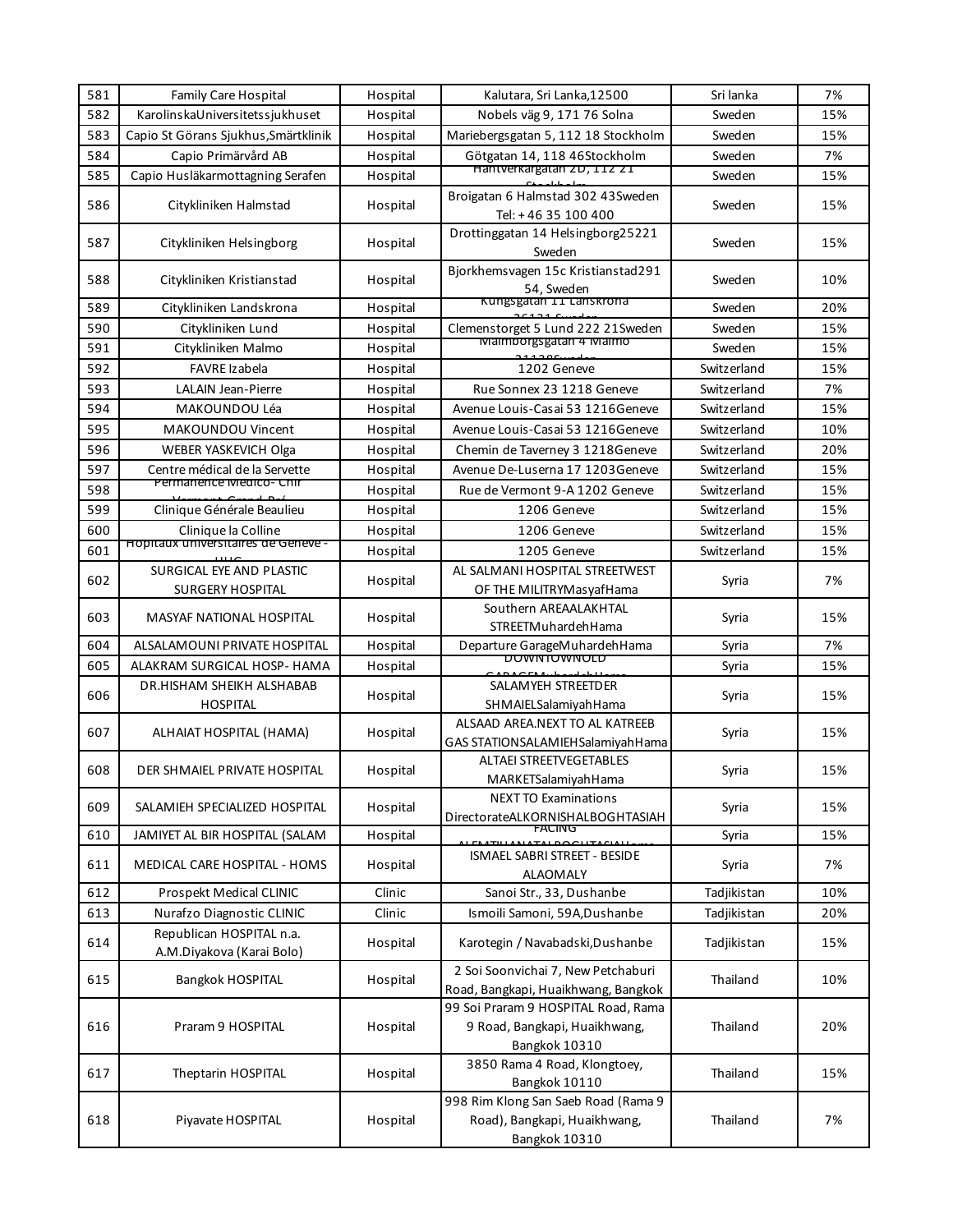| 581 | <b>Family Care Hospital</b>                           | Hospital | Kalutara, Sri Lanka,12500                                                             | Sri lanka   | 7%  |
|-----|-------------------------------------------------------|----------|---------------------------------------------------------------------------------------|-------------|-----|
| 582 | KarolinskaUniversitetssjukhuset                       | Hospital | Nobels väg 9, 171 76 Solna                                                            | Sweden      | 15% |
| 583 | Capio St Görans Sjukhus, Smärtklinik                  | Hospital | Mariebergsgatan 5, 112 18 Stockholm                                                   | Sweden      | 15% |
| 584 | Capio Primärvård AB                                   | Hospital | Götgatan 14, 118 46Stockholm                                                          | Sweden      | 7%  |
| 585 | Capio Husläkarmottagning Serafen                      | Hospital | Hantverkargatan ZD, 11Z Z1                                                            | Sweden      | 15% |
| 586 | Citykliniken Halmstad                                 | Hospital | Broigatan 6 Halmstad 302 43Sweden                                                     | Sweden      | 15% |
|     |                                                       |          | Tel: +46 35 100 400                                                                   |             |     |
| 587 | Citykliniken Helsingborg                              | Hospital | Drottinggatan 14 Helsingborg25221<br>Sweden                                           | Sweden      | 15% |
| 588 | Citykliniken Kristianstad                             | Hospital | Bjorkhemsvagen 15c Kristianstad291<br>54. Sweden                                      | Sweden      | 10% |
| 589 | Citykliniken Landskrona                               | Hospital | Kungsgatan 11 Lanskrona                                                               | Sweden      | 20% |
| 590 | Citykliniken Lund                                     | Hospital | Clemenstorget 5 Lund 222 21Sweden                                                     | Sweden      | 15% |
| 591 | Citykliniken Malmo                                    | Hospital | Malmoorgsgatan 4 Malmo                                                                | Sweden      | 15% |
| 592 | FAVRE Izabela                                         | Hospital | 1202 Geneve                                                                           | Switzerland | 15% |
| 593 | <b>LALAIN Jean-Pierre</b>                             | Hospital | Rue Sonnex 23 1218 Geneve                                                             | Switzerland | 7%  |
| 594 | MAKOUNDOU Léa                                         | Hospital | Avenue Louis-Casai 53 1216Geneve                                                      | Switzerland | 15% |
| 595 | MAKOUNDOU Vincent                                     | Hospital | Avenue Louis-Casai 53 1216Geneve                                                      | Switzerland | 10% |
| 596 | WEBER YASKEVICH Olga                                  | Hospital | Chemin de Taverney 3 1218 Geneve                                                      | Switzerland | 20% |
| 597 | Centre médical de la Servette                         | Hospital | Avenue De-Luserna 17 1203 Geneve                                                      | Switzerland | 15% |
| 598 | Permanence Medico-Chir                                | Hospital | Rue de Vermont 9-A 1202 Geneve                                                        | Switzerland | 15% |
| 599 | Clinique Générale Beaulieu                            | Hospital | 1206 Geneve                                                                           | Switzerland | 15% |
| 600 | Clinique la Colline                                   | Hospital | 1206 Geneve                                                                           | Switzerland | 15% |
| 601 | <b>HODITAUX UNIVERSITAIRES DE GENEVE -</b>            | Hospital | 1205 Geneve                                                                           | Switzerland | 15% |
|     | SURGICAL EYE AND PLASTIC                              |          | AL SALMANI HOSPITAL STREETWEST                                                        |             |     |
| 602 | <b>SURGERY HOSPITAL</b>                               | Hospital | OF THE MILITRYMasyafHama                                                              | Syria       | 7%  |
| 603 | MASYAF NATIONAL HOSPITAL                              | Hospital | Southern AREAALAKHTAL<br>STREETMuhardehHama                                           | Syria       | 15% |
| 604 | ALSALAMOUNI PRIVATE HOSPITAL                          | Hospital | Departure GarageMuhardehHama                                                          | Syria       | 7%  |
| 605 | ALAKRAM SURGICAL HOSP- HAMA                           | Hospital | <b>DOMMIOMMOLD</b>                                                                    | Syria       | 15% |
| 606 | DR.HISHAM SHEIKH ALSHABAB                             |          | SALAMYEH STREETDER                                                                    |             | 15% |
|     | <b>HOSPITAL</b>                                       | Hospital | SHMAIELSalamiyahHama                                                                  | Syria       |     |
| 607 | ALHAIAT HOSPITAL (HAMA)                               | Hospital | ALSAAD AREA.NEXT TO AL KATREEB<br>GAS STATIONSALAMIEH Salamiyah Hama                  | Syria       | 15% |
| 608 | DER SHMAIEL PRIVATE HOSPITAL                          | Hospital | <b>ALTAEI STREETVEGETABLES</b><br>MARKETSalamiyahHama                                 | Syria       | 15% |
| 609 | SALAMIEH SPECIALIZED HOSPITAL                         | Hospital | <b>NEXT TO Examinations</b><br>DirectorateALKORNISHALBOGHTASIAH                       | Syria       | 15% |
| 610 | JAMIYET AL BIR HOSPITAL (SALAM                        | Hospital | FACING                                                                                | Syria       | 15% |
| 611 | MEDICAL CARE HOSPITAL - HOMS                          | Hospital | ISMAEL SABRI STREET - BESIDE<br><b>ALAOMALY</b>                                       | Syria       | 7%  |
| 612 | Prospekt Medical CLINIC                               | Clinic   | Sanoi Str., 33, Dushanbe                                                              | Tadjikistan | 10% |
| 613 | Nurafzo Diagnostic CLINIC                             | Clinic   | Ismoili Samoni, 59A, Dushanbe                                                         | Tadjikistan | 20% |
| 614 | Republican HOSPITAL n.a.<br>A.M.Diyakova (Karai Bolo) | Hospital | Karotegin / Navabadski, Dushanbe                                                      | Tadjikistan | 15% |
| 615 | Bangkok HOSPITAL                                      | Hospital | 2 Soi Soonvichai 7, New Petchaburi<br>Road, Bangkapi, Huaikhwang, Bangkok             | Thailand    | 10% |
| 616 | Praram 9 HOSPITAL                                     | Hospital | 99 Soi Praram 9 HOSPITAL Road, Rama<br>9 Road, Bangkapi, Huaikhwang,<br>Bangkok 10310 | Thailand    | 20% |
| 617 | Theptarin HOSPITAL                                    | Hospital | 3850 Rama 4 Road, Klongtoey,<br>Bangkok 10110                                         | Thailand    | 15% |
| 618 | Piyavate HOSPITAL                                     | Hospital | 998 Rim Klong San Saeb Road (Rama 9<br>Road), Bangkapi, Huaikhwang,<br>Bangkok 10310  | Thailand    | 7%  |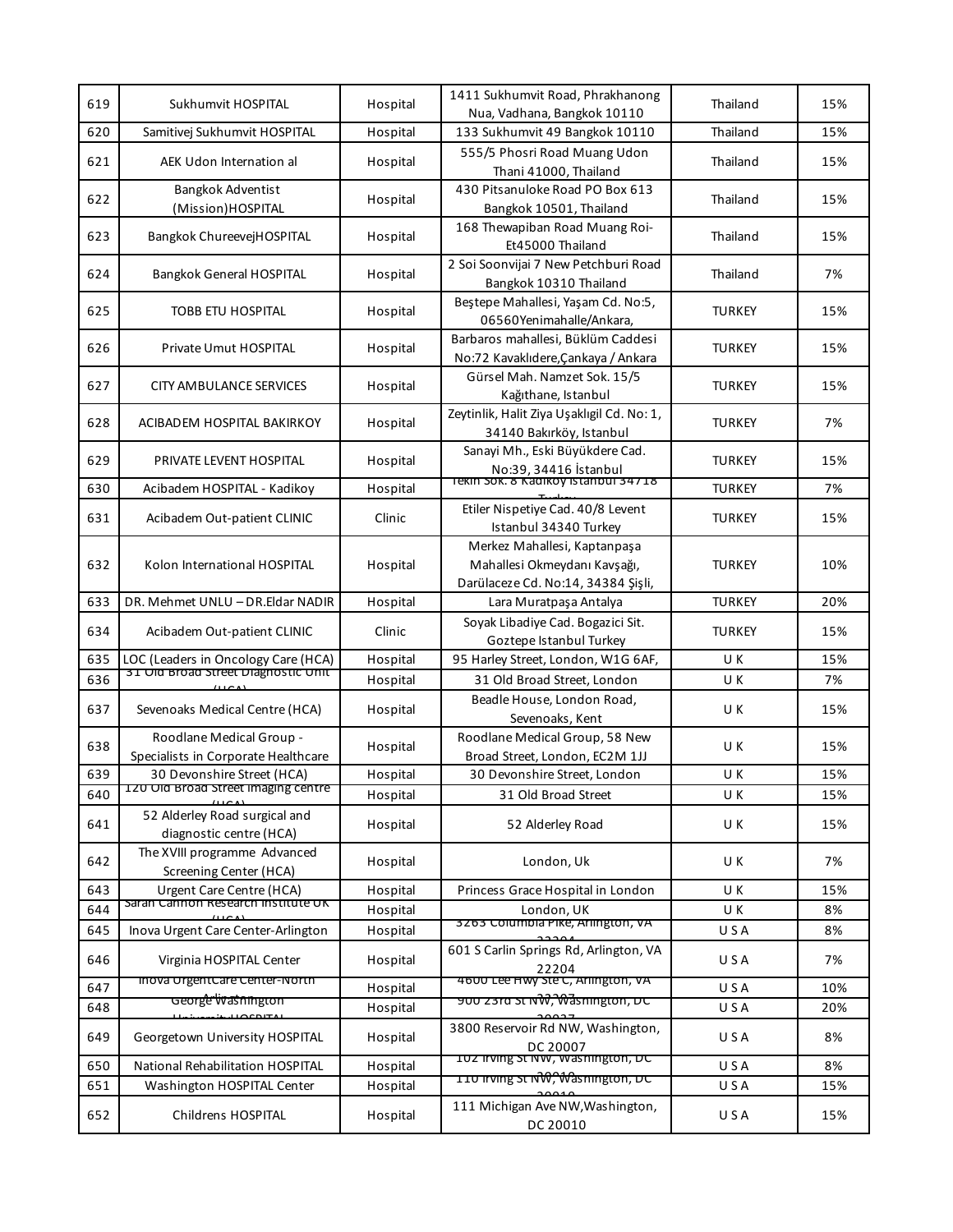| 619 | Sukhumvit HOSPITAL                                              | Hospital | 1411 Sukhumvit Road, Phrakhanong<br>Nua, Vadhana, Bangkok 10110                                    | Thailand      | 15% |
|-----|-----------------------------------------------------------------|----------|----------------------------------------------------------------------------------------------------|---------------|-----|
| 620 | Samitivej Sukhumvit HOSPITAL                                    | Hospital | 133 Sukhumvit 49 Bangkok 10110                                                                     | Thailand      | 15% |
| 621 | AEK Udon Internation al                                         | Hospital | 555/5 Phosri Road Muang Udon<br>Thani 41000, Thailand                                              | Thailand      | 15% |
| 622 | <b>Bangkok Adventist</b><br>(Mission)HOSPITAL                   | Hospital | 430 Pitsanuloke Road PO Box 613<br>Bangkok 10501, Thailand                                         | Thailand      | 15% |
| 623 | Bangkok ChureevejHOSPITAL                                       | Hospital | 168 Thewapiban Road Muang Roi-<br>Et45000 Thailand                                                 | Thailand      | 15% |
| 624 | Bangkok General HOSPITAL                                        | Hospital | 2 Soi Soonvijai 7 New Petchburi Road<br>Bangkok 10310 Thailand                                     | Thailand      | 7%  |
| 625 | TOBB ETU HOSPITAL                                               | Hospital | Beştepe Mahallesi, Yaşam Cd. No:5,<br>06560Yenimahalle/Ankara,                                     | <b>TURKEY</b> | 15% |
| 626 | Private Umut HOSPITAL                                           | Hospital | Barbaros mahallesi, Büklüm Caddesi<br>No:72 Kavaklıdere,Çankaya / Ankara                           | <b>TURKEY</b> | 15% |
| 627 | <b>CITY AMBULANCE SERVICES</b>                                  | Hospital | Gürsel Mah. Namzet Sok. 15/5<br>Kağıthane, Istanbul                                                | <b>TURKEY</b> | 15% |
| 628 | ACIBADEM HOSPITAL BAKIRKOY                                      | Hospital | Zeytinlik, Halit Ziya Uşaklıgil Cd. No: 1,<br>34140 Bakırköy, Istanbul                             | <b>TURKEY</b> | 7%  |
| 629 | PRIVATE LEVENT HOSPITAL                                         | Hospital | Sanayi Mh., Eski Büyükdere Cad.<br>No:39, 34416 İstanbul                                           | <b>TURKEY</b> | 15% |
| 630 | Acibadem HOSPITAL - Kadikoy                                     | Hospital | Tekin Sok. 8 Kadikoy istanbul 34718                                                                | <b>TURKEY</b> | 7%  |
| 631 | Acibadem Out-patient CLINIC                                     | Clinic   | Etiler Nispetiye Cad. 40/8 Levent<br>Istanbul 34340 Turkey                                         | <b>TURKEY</b> | 15% |
| 632 | Kolon International HOSPITAL                                    | Hospital | Merkez Mahallesi, Kaptanpaşa<br>Mahallesi Okmeydanı Kavşağı,<br>Darülaceze Cd. No:14, 34384 Şişli, | <b>TURKEY</b> | 10% |
| 633 | DR. Mehmet UNLU - DR.Eldar NADIR                                | Hospital | Lara Muratpaşa Antalya                                                                             | <b>TURKEY</b> | 20% |
| 634 | Acibadem Out-patient CLINIC                                     | Clinic   | Soyak Libadiye Cad. Bogazici Sit.<br>Goztepe Istanbul Turkey                                       | <b>TURKEY</b> | 15% |
| 635 | LOC (Leaders in Oncology Care (HCA)                             | Hospital | 95 Harley Street, London, W1G 6AF,                                                                 | U K           | 15% |
| 636 | 31 Old Broad Street Diagnostic Unit                             | Hospital | 31 Old Broad Street, London                                                                        | U K           | 7%  |
| 637 | Sevenoaks Medical Centre (HCA)                                  | Hospital | Beadle House, London Road,<br>Sevenoaks, Kent                                                      | UΚ            | 15% |
| 638 | Roodlane Medical Group -<br>Specialists in Corporate Healthcare | Hospital | Roodlane Medical Group, 58 New<br>Broad Street, London, EC2M 1JJ                                   | UΚ            | 15% |
| 639 | 30 Devonshire Street (HCA)                                      | Hospital | 30 Devonshire Street, London                                                                       | U K           | 15% |
| 640 | 120 Old Broad Street imaging centre                             | Hospital | 31 Old Broad Street                                                                                | U K           | 15% |
| 641 | 52 Alderley Road surgical and<br>diagnostic centre (HCA)        | Hospital | 52 Alderley Road                                                                                   | U K           | 15% |
| 642 | The XVIII programme Advanced<br>Screening Center (HCA)          | Hospital | London, Uk                                                                                         | U K           | 7%  |
| 643 | Urgent Care Centre (HCA)                                        | Hospital | Princess Grace Hospital in London                                                                  | U K           | 15% |
| 644 | Saran Cannon Research Institute UK                              | Hospital | London, UK                                                                                         | U K           | 8%  |
| 645 | Inova Urgent Care Center-Arlington                              | Hospital | 3263 Columbia Pike, Arlington, VA                                                                  | USA           | 8%  |
| 646 | Virginia HOSPITAL Center                                        | Hospital | 601 S Carlin Springs Rd, Arlington, VA<br>22204                                                    | USA           | 7%  |
| 647 | inova UrgentCare Center-North                                   | Hospital | 4600 Lee Hwy Ste C, Arlington, VA                                                                  | USA           | 10% |
| 648 | George wasnington<br>$\cdots$                                   | Hospital | <del>900 z3ra st NW, Wasnington, DC</del>                                                          | USA           | 20% |
| 649 | Georgetown University HOSPITAL                                  | Hospital | 3800 Reservoir Rd NW, Washington,<br>DC 20007                                                      | USA           | 8%  |
| 650 | National Rehabilitation HOSPITAL                                | Hospital | 102 irving St NW, Washington, DC                                                                   | USA           | 8%  |
| 651 | Washington HOSPITAL Center                                      | Hospital | <b>TIU INING ST NW, Wasnington, DC</b>                                                             | USA           | 15% |
| 652 | Childrens HOSPITAL                                              | Hospital | 111 Michigan Ave NW, Washington,<br>DC 20010                                                       | USA           | 15% |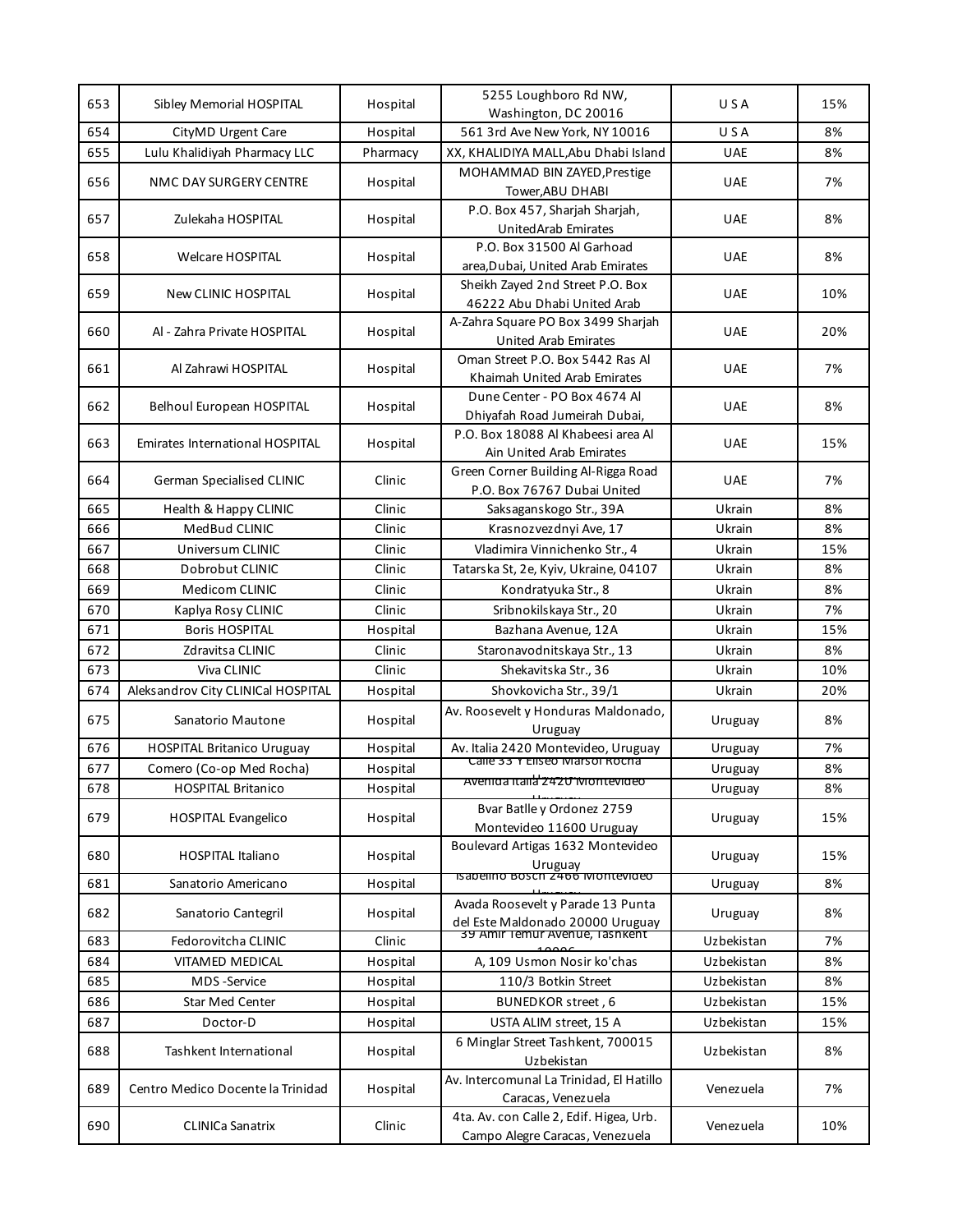| 653 | Sibley Memorial HOSPITAL               | Hospital | 5255 Loughboro Rd NW,<br>Washington, DC 20016                              | USA        | 15% |
|-----|----------------------------------------|----------|----------------------------------------------------------------------------|------------|-----|
| 654 | CityMD Urgent Care                     | Hospital | 561 3rd Ave New York, NY 10016                                             | USA        | 8%  |
| 655 | Lulu Khalidiyah Pharmacy LLC           | Pharmacy | XX, KHALIDIYA MALL, Abu Dhabi Island                                       | <b>UAE</b> | 8%  |
|     |                                        |          | MOHAMMAD BIN ZAYED, Prestige                                               |            |     |
| 656 | NMC DAY SURGERY CENTRE                 | Hospital | Tower, ABU DHABI                                                           | <b>UAE</b> | 7%  |
|     |                                        |          | P.O. Box 457, Sharjah Sharjah,                                             |            |     |
| 657 | Zulekaha HOSPITAL                      | Hospital | UnitedArab Emirates                                                        | <b>UAE</b> | 8%  |
|     |                                        |          | P.O. Box 31500 Al Garhoad                                                  |            |     |
| 658 | <b>Welcare HOSPITAL</b>                | Hospital | area, Dubai, United Arab Emirates                                          | <b>UAE</b> | 8%  |
| 659 | <b>New CLINIC HOSPITAL</b>             | Hospital | Sheikh Zayed 2nd Street P.O. Box                                           | <b>UAE</b> | 10% |
|     |                                        |          | 46222 Abu Dhabi United Arab                                                |            |     |
| 660 | Al - Zahra Private HOSPITAL            | Hospital | A-Zahra Square PO Box 3499 Sharjah                                         | <b>UAE</b> | 20% |
|     |                                        |          | <b>United Arab Emirates</b>                                                |            |     |
| 661 | Al Zahrawi HOSPITAL                    | Hospital | Oman Street P.O. Box 5442 Ras Al                                           | <b>UAE</b> | 7%  |
|     |                                        |          | Khaimah United Arab Emirates                                               |            |     |
| 662 | Belhoul European HOSPITAL              | Hospital | Dune Center - PO Box 4674 Al                                               | <b>UAE</b> | 8%  |
|     |                                        |          | Dhiyafah Road Jumeirah Dubai,                                              |            |     |
| 663 | <b>Emirates International HOSPITAL</b> | Hospital | P.O. Box 18088 Al Khabeesi area Al                                         | <b>UAE</b> | 15% |
|     |                                        |          | Ain United Arab Emirates                                                   |            |     |
| 664 | German Specialised CLINIC              | Clinic   | Green Corner Building Al-Rigga Road<br>P.O. Box 76767 Dubai United         | <b>UAE</b> | 7%  |
| 665 | Health & Happy CLINIC                  | Clinic   | Saksaganskogo Str., 39A                                                    | Ukrain     | 8%  |
| 666 | MedBud CLINIC                          | Clinic   | Krasnozvezdnyi Ave, 17                                                     | Ukrain     | 8%  |
| 667 | Universum CLINIC                       | Clinic   | Vladimira Vinnichenko Str., 4                                              | Ukrain     | 15% |
|     |                                        |          |                                                                            |            | 8%  |
| 668 | Dobrobut CLINIC                        | Clinic   | Tatarska St, 2e, Kyiv, Ukraine, 04107                                      | Ukrain     |     |
| 669 | Medicom CLINIC                         | Clinic   | Kondratyuka Str., 8                                                        | Ukrain     | 8%  |
| 670 | Kaplya Rosy CLINIC                     | Clinic   | Sribnokilskaya Str., 20                                                    | Ukrain     | 7%  |
| 671 | <b>Boris HOSPITAL</b>                  | Hospital | Bazhana Avenue, 12A                                                        | Ukrain     | 15% |
| 672 | Zdravitsa CLINIC                       | Clinic   | Staronavodnitskaya Str., 13                                                | Ukrain     | 8%  |
| 673 | Viva CLINIC                            | Clinic   | Shekavitska Str., 36                                                       | Ukrain     | 10% |
| 674 | Aleksandrov City CLINICal HOSPITAL     | Hospital | Shovkovicha Str., 39/1                                                     | Ukrain     | 20% |
| 675 | Sanatorio Mautone                      | Hospital | Av. Roosevelt y Honduras Maldonado,<br>Uruguay                             | Uruguay    | 8%  |
| 676 | <b>HOSPITAL Britanico Uruguay</b>      | Hospital | Av. Italia 2420 Montevideo, Uruguay                                        | Uruguay    | 7%  |
| 677 | Comero (Co-op Med Rocha)               | Hospital | Calle 33 Y Eliseo Marsoi Rocha                                             | Uruguay    | 8%  |
| 678 | <b>HOSPITAL Britanico</b>              | Hospital | Avenida italia 2420 Montevideo                                             | Uruguay    | 8%  |
|     |                                        |          | Bvar Batlle y Ordonez 2759                                                 |            |     |
| 679 | <b>HOSPITAL Evangelico</b>             | Hospital | Montevideo 11600 Uruguay                                                   | Uruguay    | 15% |
|     |                                        |          | Boulevard Artigas 1632 Montevideo                                          |            |     |
| 680 | <b>HOSPITAL Italiano</b>               | Hospital | Uruguay<br>Isabelino Bosch 2466 Montevideo                                 | Uruguay    | 15% |
| 681 | Sanatorio Americano                    | Hospital |                                                                            | Uruguay    | 8%  |
| 682 | Sanatorio Cantegril                    |          | Avada Roosevelt y Parade 13 Punta                                          |            | 8%  |
|     |                                        | Hospital | del Este Maldonado 20000 Uruguay<br>39 Amir Temur Avenue, Tashkent         | Uruguay    |     |
| 683 | Fedorovitcha CLINIC                    | Clinic   |                                                                            | Uzbekistan | 7%  |
| 684 | VITAMED MEDICAL                        | Hospital | A, 109 Usmon Nosir ko'chas                                                 | Uzbekistan | 8%  |
| 685 | MDS-Service                            | Hospital | 110/3 Botkin Street                                                        | Uzbekistan | 8%  |
| 686 | Star Med Center                        | Hospital | BUNEDKOR street, 6                                                         | Uzbekistan | 15% |
| 687 | Doctor-D                               | Hospital | USTA ALIM street, 15 A                                                     | Uzbekistan | 15% |
| 688 | Tashkent International                 | Hospital | 6 Minglar Street Tashkent, 700015<br>Uzbekistan                            | Uzbekistan | 8%  |
| 689 | Centro Medico Docente la Trinidad      | Hospital | Av. Intercomunal La Trinidad, El Hatillo<br>Caracas, Venezuela             | Venezuela  | 7%  |
| 690 | <b>CLINICa Sanatrix</b>                | Clinic   | 4ta. Av. con Calle 2, Edif. Higea, Urb.<br>Campo Alegre Caracas, Venezuela | Venezuela  | 10% |